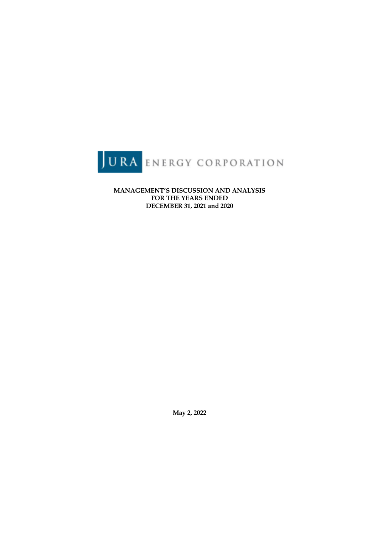

**MANAGEMENT'S DISCUSSION AND ANALYSIS FOR THE YEARS ENDED DECEMBER 31, 2021 and 2020**

**May 2, 2022**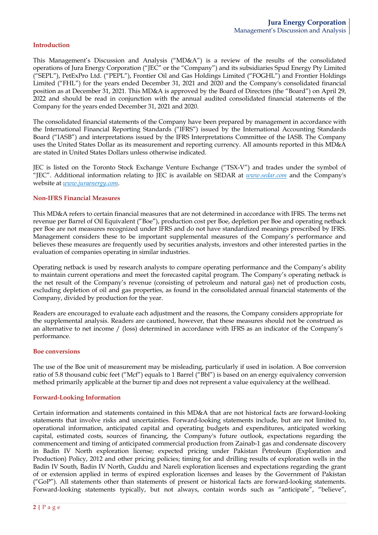### **Introduction**

This Management's Discussion and Analysis ("MD&A") is a review of the results of the consolidated operations of Jura Energy Corporation ("JEC" or the "Company") and its subsidiaries Spud Energy Pty Limited ("SEPL"), PetExPro Ltd. ("PEPL"), Frontier Oil and Gas Holdings Limited ("FOGHL") and Frontier Holdings Limited ("FHL") for the years ended December 31, 2021 and 2020 and the Company's consolidated financial position as at December 31, 2021. This MD&A is approved by the Board of Directors (the "Board") on April 29, 2022 and should be read in conjunction with the annual audited consolidated financial statements of the Company for the years ended December 31, 2021 and 2020.

The consolidated financial statements of the Company have been prepared by management in accordance with the International Financial Reporting Standards ("IFRS") issued by the International Accounting Standards Board ("IASB") and interpretations issued by the IFRS Interpretations Committee of the IASB. The Company uses the United States Dollar as its measurement and reporting currency. All amounts reported in this MD&A are stated in United States Dollars unless otherwise indicated.

JEC is listed on the Toronto Stock Exchange Venture Exchange ("TSX-V") and trades under the symbol of "JEC". Additional information relating to JEC is available on SEDAR at *www.sedar.com* and the Company's website at *www.juraenergy.com*.

#### **Non-IFRS Financial Measures**

This MD&A refers to certain financial measures that are not determined in accordance with IFRS. The terms net revenue per Barrel of Oil Equivalent ("Boe"), production cost per Boe, depletion per Boe and operating netback per Boe are not measures recognized under IFRS and do not have standardized meanings prescribed by IFRS. Management considers these to be important supplemental measures of the Company's performance and believes these measures are frequently used by securities analysts, investors and other interested parties in the evaluation of companies operating in similar industries.

Operating netback is used by research analysts to compare operating performance and the Company's ability to maintain current operations and meet the forecasted capital program. The Company's operating netback is the net result of the Company's revenue (consisting of petroleum and natural gas) net of production costs, excluding depletion of oil and gas properties, as found in the consolidated annual financial statements of the Company, divided by production for the year.

Readers are encouraged to evaluate each adjustment and the reasons, the Company considers appropriate for the supplemental analysis. Readers are cautioned, however, that these measures should not be construed as an alternative to net income / (loss) determined in accordance with IFRS as an indicator of the Company's performance.

#### **Boe conversions**

The use of the Boe unit of measurement may be misleading, particularly if used in isolation. A Boe conversion ratio of 5.8 thousand cubic feet ("Mcf") equals to 1 Barrel ("Bbl") is based on an energy equivalency conversion method primarily applicable at the burner tip and does not represent a value equivalency at the wellhead.

#### **Forward-Looking Information**

Certain information and statements contained in this MD&A that are not historical facts are forward-looking statements that involve risks and uncertainties. Forward-looking statements include, but are not limited to, operational information, anticipated capital and operating budgets and expenditures, anticipated working capital, estimated costs, sources of financing, the Company's future outlook, expectations regarding the commencement and timing of anticipated commercial production from Zainab-1 gas and condensate discovery in Badin IV North exploration license; expected pricing under Pakistan Petroleum (Exploration and Production) Policy, 2012 and other pricing policies; timing for and drilling results of exploration wells in the Badin IV South, Badin IV North, Guddu and Nareli exploration licenses and expectations regarding the grant of or extension applied in terms of expired exploration licenses and leases by the Government of Pakistan ("GoP"). All statements other than statements of present or historical facts are forward-looking statements. Forward-looking statements typically, but not always, contain words such as "anticipate", "believe",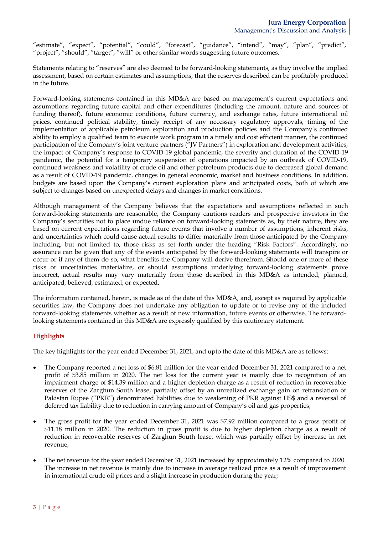"estimate", "expect", "potential", "could", "forecast", "guidance", "intend", "may", "plan", "predict", "project", "should", "target", "will" or other similar words suggesting future outcomes.

Statements relating to "reserves" are also deemed to be forward-looking statements, as they involve the implied assessment, based on certain estimates and assumptions, that the reserves described can be profitably produced in the future.

Forward-looking statements contained in this MD&A are based on management's current expectations and assumptions regarding future capital and other expenditures (including the amount, nature and sources of funding thereof), future economic conditions, future currency, and exchange rates, future international oil prices, continued political stability, timely receipt of any necessary regulatory approvals, timing of the implementation of applicable petroleum exploration and production policies and the Company's continued ability to employ a qualified team to execute work program in a timely and cost efficient manner, the continued participation of the Company's joint venture partners ("JV Partners") in exploration and development activities, the impact of Company's response to COVID-19 global pandemic, the severity and duration of the COVID-19 pandemic, the potential for a temporary suspension of operations impacted by an outbreak of COVID-19, continued weakness and volatility of crude oil and other petroleum products due to decreased global demand as a result of COVID-19 pandemic, changes in general economic, market and business conditions. In addition, budgets are based upon the Company's current exploration plans and anticipated costs, both of which are subject to changes based on unexpected delays and changes in market conditions.

Although management of the Company believes that the expectations and assumptions reflected in such forward-looking statements are reasonable, the Company cautions readers and prospective investors in the Company's securities not to place undue reliance on forward-looking statements as, by their nature, they are based on current expectations regarding future events that involve a number of assumptions, inherent risks, and uncertainties which could cause actual results to differ materially from those anticipated by the Company including, but not limited to, those risks as set forth under the heading "Risk Factors". Accordingly, no assurance can be given that any of the events anticipated by the forward-looking statements will transpire or occur or if any of them do so, what benefits the Company will derive therefrom. Should one or more of these risks or uncertainties materialize, or should assumptions underlying forward-looking statements prove incorrect, actual results may vary materially from those described in this MD&A as intended, planned, anticipated, believed, estimated, or expected.

The information contained, herein, is made as of the date of this MD&A, and, except as required by applicable securities law, the Company does not undertake any obligation to update or to revise any of the included forward-looking statements whether as a result of new information, future events or otherwise. The forwardlooking statements contained in this MD&A are expressly qualified by this cautionary statement.

# **Highlights**

The key highlights for the year ended December 31, 2021, and upto the date of this MD&A are as follows:

- The Company reported a net loss of \$6.81 million for the year ended December 31, 2021 compared to a net profit of \$3.85 million in 2020. The net loss for the current year is mainly due to recognition of an impairment charge of \$14.39 million and a higher depletion charge as a result of reduction in recoverable reserves of the Zarghun South lease, partially offset by an unrealized exchange gain on retranslation of Pakistan Rupee ("PKR") denominated liabilities due to weakening of PKR against US\$ and a reversal of deferred tax liability due to reduction in carrying amount of Company's oil and gas properties;
- The gross profit for the year ended December 31, 2021 was \$7.92 million compared to a gross profit of \$11.18 million in 2020. The reduction in gross profit is due to higher depletion charge as a result of reduction in recoverable reserves of Zarghun South lease, which was partially offset by increase in net revenue;
- The net revenue for the year ended December 31, 2021 increased by approximately 12% compared to 2020. The increase in net revenue is mainly due to increase in average realized price as a result of improvement in international crude oil prices and a slight increase in production during the year;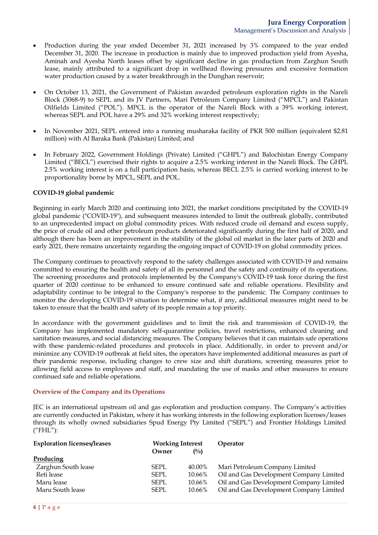- Production during the year ended December 31, 2021 increased by 3% compared to the year ended December 31, 2020. The increase in production is mainly due to improved production yield from Ayesha, Aminah and Ayesha North leases offset by significant decline in gas production from Zarghun South lease, mainly attributed to a significant drop in wellhead flowing pressures and excessive formation water production caused by a water breakthrough in the Dunghan reservoir;
- On October 13, 2021, the Government of Pakistan awarded petroleum exploration rights in the Nareli Block (3068-9) to SEPL and its JV Partners, Mari Petroleum Company Limited ("MPCL") and Pakistan Oilfields Limited ("POL"). MPCL is the operator of the Nareli Block with a 39% working interest, whereas SEPL and POL have a 29% and 32% working interest respectively;
- In November 2021, SEPL entered into a running musharaka facility of PKR 500 million (equivalent \$2.81 million) with Al Baraka Bank (Pakistan) Limited; and
- In February 2022, Government Holdings (Private) Limited ("GHPL") and Balochistan Energy Company Limited ("BECL") exercised their rights to acquire a 2.5% working interest in the Nareli Block. The GHPL 2.5% working interest is on a full participation basis, whereas BECL 2.5% is carried working interest to be proportionality borne by MPCL, SEPL and POL.

## **COVID-19 global pandemic**

Beginning in early March 2020 and continuing into 2021, the market conditions precipitated by the COVID-19 global pandemic ("COVID-19"), and subsequent measures intended to limit the outbreak globally, contributed to an unprecedented impact on global commodity prices. With reduced crude oil demand and excess supply, the price of crude oil and other petroleum products deteriorated significantly during the first half of 2020, and although there has been an improvement in the stability of the global oil market in the later parts of 2020 and early 2021, there remains uncertainty regarding the ongoing impact of COVID-19 on global commodity prices.

The Company continues to proactively respond to the safety challenges associated with COVID-19 and remains committed to ensuring the health and safety of all its personnel and the safety and continuity of its operations. The screening procedures and protocols implemented by the Company's COVID-19 task force during the first quarter of 2020 continue to be enhanced to ensure continued safe and reliable operations. Flexibility and adaptability continue to be integral to the Company's response to the pandemic. The Company continues to monitor the developing COVID-19 situation to determine what, if any, additional measures might need to be taken to ensure that the health and safety of its people remain a top priority.

In accordance with the government guidelines and to limit the risk and transmission of COVID-19, the Company has implemented mandatory self-quarantine policies, travel restrictions, enhanced cleaning and sanitation measures, and social distancing measures. The Company believes that it can maintain safe operations with these pandemic-related procedures and protocols in place. Additionally, in order to prevent and/or minimize any COVID-19 outbreak at field sites, the operators have implemented additional measures as part of their pandemic response, including changes to crew size and shift durations, screening measures prior to allowing field access to employees and staff, and mandating the use of masks and other measures to ensure continued safe and reliable operations.

#### **Overview of the Company and its Operations**

JEC is an international upstream oil and gas exploration and production company. The Company's activities are currently conducted in Pakistan, where it has working interests in the following exploration licenses/leases through its wholly owned subsidiaries Spud Energy Pty Limited ("SEPL") and Frontier Holdings Limited  $("FHL")$ :

| <b>Exploration licenses/leases</b> | <b>Working Interest</b> |        | Operator                                |
|------------------------------------|-------------------------|--------|-----------------------------------------|
|                                    | Owner                   | $($ %) |                                         |
| Producing                          |                         |        |                                         |
| Zarghun South lease                | <b>SEPL</b>             | 40.00% | Mari Petroleum Company Limited          |
| Reti lease                         | <b>SEPL</b>             | 10.66% | Oil and Gas Development Company Limited |
| Maru lease                         | <b>SEPL</b>             | 10.66% | Oil and Gas Development Company Limited |
| Maru South lease                   | <b>SEPL</b>             | 10.66% | Oil and Gas Development Company Limited |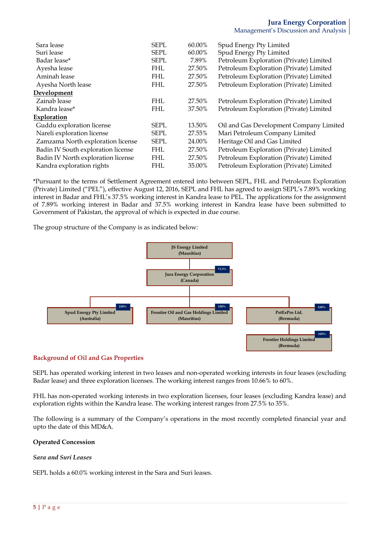| Sara lease                         | <b>SEPL</b> | 60.00% | Spud Energy Pty Limited                 |
|------------------------------------|-------------|--------|-----------------------------------------|
| Suri lease                         | <b>SEPL</b> | 60.00% | Spud Energy Pty Limited                 |
| Badar lease*                       | <b>SEPL</b> | 7.89%  | Petroleum Exploration (Private) Limited |
| Ayesha lease                       | <b>FHL</b>  | 27.50% | Petroleum Exploration (Private) Limited |
| Aminah lease                       | <b>FHL</b>  | 27.50% | Petroleum Exploration (Private) Limited |
| Ayesha North lease                 | <b>FHL</b>  | 27.50% | Petroleum Exploration (Private) Limited |
| Development                        |             |        |                                         |
| Zainab lease                       | <b>FHL</b>  | 27.50% | Petroleum Exploration (Private) Limited |
| Kandra lease*                      | <b>FHL</b>  | 37.50% | Petroleum Exploration (Private) Limited |
| Exploration                        |             |        |                                         |
| Guddu exploration license          | <b>SEPL</b> | 13.50% | Oil and Gas Development Company Limited |
| Nareli exploration license         | <b>SEPL</b> | 27.55% | Mari Petroleum Company Limited          |
| Zamzama North exploration license  | <b>SEPL</b> | 24.00% | Heritage Oil and Gas Limited            |
| Badin IV South exploration license | <b>FHL</b>  | 27.50% | Petroleum Exploration (Private) Limited |
| Badin IV North exploration license | <b>FHL</b>  | 27.50% | Petroleum Exploration (Private) Limited |
| Kandra exploration rights          | <b>FHL</b>  | 35.00% | Petroleum Exploration (Private) Limited |
|                                    |             |        |                                         |

\*Pursuant to the terms of Settlement Agreement entered into between SEPL, FHL and Petroleum Exploration (Private) Limited ("PEL"), effective August 12, 2016, SEPL and FHL has agreed to assign SEPL's 7.89% working interest in Badar and FHL's 37.5% working interest in Kandra lease to PEL. The applications for the assignment of 7.89% working interest in Badar and 37.5% working interest in Kandra lease have been submitted to Government of Pakistan, the approval of which is expected in due course.

The group structure of the Company is as indicated below:



## **Background of Oil and Gas Properties**

SEPL has operated working interest in two leases and non-operated working interests in four leases (excluding Badar lease) and three exploration licenses. The working interest ranges from 10.66% to 60%.

FHL has non-operated working interests in two exploration licenses, four leases (excluding Kandra lease) and exploration rights within the Kandra lease. The working interest ranges from 27.5% to 35%.

The following is a summary of the Company's operations in the most recently completed financial year and upto the date of this MD&A.

## **Operated Concession**

## *Sara and Suri Leases*

SEPL holds a 60.0% working interest in the Sara and Suri leases.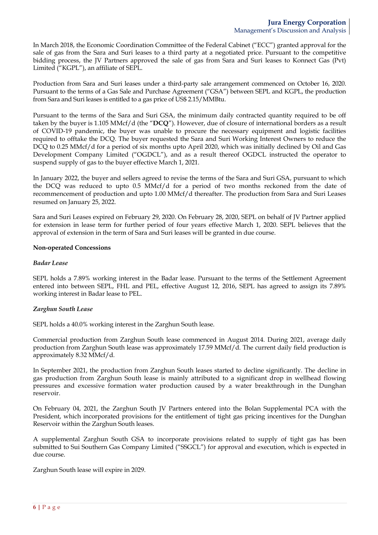In March 2018, the Economic Coordination Committee of the Federal Cabinet ("ECC") granted approval for the sale of gas from the Sara and Suri leases to a third party at a negotiated price. Pursuant to the competitive bidding process, the JV Partners approved the sale of gas from Sara and Suri leases to Konnect Gas (Pvt) Limited ("KGPL"), an affiliate of SEPL.

Production from Sara and Suri leases under a third-party sale arrangement commenced on October 16, 2020. Pursuant to the terms of a Gas Sale and Purchase Agreement ("GSA") between SEPL and KGPL, the production from Sara and Suri leases is entitled to a gas price of US\$ 2.15/MMBtu.

Pursuant to the terms of the Sara and Suri GSA, the minimum daily contracted quantity required to be off taken by the buyer is 1.105 MMcf/d (the "**DCQ**"). However, due of closure of international borders as a result of COVID-19 pandemic, the buyer was unable to procure the necessary equipment and logistic facilities required to offtake the DCQ. The buyer requested the Sara and Suri Working Interest Owners to reduce the DCQ to 0.25 MMcf/d for a period of six months upto April 2020, which was initially declined by Oil and Gas Development Company Limited ("OGDCL"), and as a result thereof OGDCL instructed the operator to suspend supply of gas to the buyer effective March 1, 2021.

In January 2022, the buyer and sellers agreed to revise the terms of the Sara and Suri GSA, pursuant to which the DCQ was reduced to upto 0.5 MMcf/d for a period of two months reckoned from the date of recommencement of production and upto 1.00 MMcf/d thereafter. The production from Sara and Suri Leases resumed on January 25, 2022.

Sara and Suri Leases expired on February 29, 2020. On February 28, 2020, SEPL on behalf of JV Partner applied for extension in lease term for further period of four years effective March 1, 2020. SEPL believes that the approval of extension in the term of Sara and Suri leases will be granted in due course.

## **Non-operated Concessions**

### *Badar Lease*

SEPL holds a 7.89% working interest in the Badar lease. Pursuant to the terms of the Settlement Agreement entered into between SEPL, FHL and PEL, effective August 12, 2016, SEPL has agreed to assign its 7.89% working interest in Badar lease to PEL.

## *Zarghun South Lease*

SEPL holds a 40.0% working interest in the Zarghun South lease.

Commercial production from Zarghun South lease commenced in August 2014. During 2021, average daily production from Zarghun South lease was approximately 17.59 MMcf/d. The current daily field production is approximately 8.32 MMcf/d.

In September 2021, the production from Zarghun South leases started to decline significantly. The decline in gas production from Zarghun South lease is mainly attributed to a significant drop in wellhead flowing pressures and excessive formation water production caused by a water breakthrough in the Dunghan reservoir.

On February 04, 2021, the Zarghun South JV Partners entered into the Bolan Supplemental PCA with the President, which incorporated provisions for the entitlement of tight gas pricing incentives for the Dunghan Reservoir within the Zarghun South leases.

A supplemental Zarghun South GSA to incorporate provisions related to supply of tight gas has been submitted to Sui Southern Gas Company Limited ("SSGCL") for approval and execution, which is expected in due course.

Zarghun South lease will expire in 2029.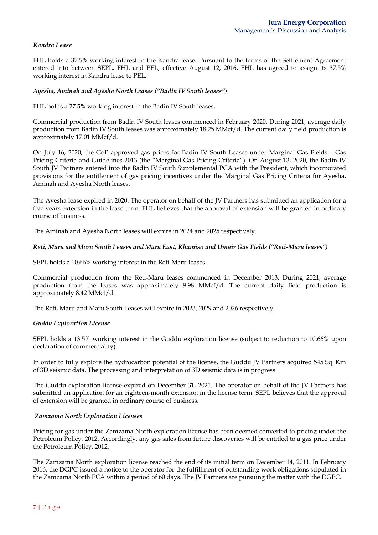## *Kandra Lease*

FHL holds a 37.5% working interest in the Kandra lease**.** Pursuant to the terms of the Settlement Agreement entered into between SEPL, FHL and PEL, effective August 12, 2016, FHL has agreed to assign its 37.5% working interest in Kandra lease to PEL.

### *Ayesha, Aminah and Ayesha North Leases ("Badin IV South leases")*

FHL holds a 27.5% working interest in the Badin IV South leases**.** 

Commercial production from Badin IV South leases commenced in February 2020. During 2021, average daily production from Badin IV South leases was approximately 18.25 MMcf/d. The current daily field production is approximately 17.01 MMcf/d.

On July 16, 2020, the GoP approved gas prices for Badin IV South Leases under Marginal Gas Fields – Gas Pricing Criteria and Guidelines 2013 (the "Marginal Gas Pricing Criteria"). On August 13, 2020, the Badin IV South JV Partners entered into the Badin IV South Supplemental PCA with the President, which incorporated provisions for the entitlement of gas pricing incentives under the Marginal Gas Pricing Criteria for Ayesha, Aminah and Ayesha North leases.

The Ayesha lease expired in 2020. The operator on behalf of the JV Partners has submitted an application for a five years extension in the lease term. FHL believes that the approval of extension will be granted in ordinary course of business.

The Aminah and Ayesha North leases will expire in 2024 and 2025 respectively.

### *Reti, Maru and Maru South Leases and Maru East, Khamiso and Umair Gas Fields ("Reti-Maru leases")*

SEPL holds a 10.66% working interest in the Reti-Maru leases.

Commercial production from the Reti-Maru leases commenced in December 2013. During 2021, average production from the leases was approximately 9.98 MMcf/d. The current daily field production is approximately 8.42 MMcf/d.

The Reti, Maru and Maru South Leases will expire in 2023, 2029 and 2026 respectively.

#### *Guddu Exploration License*

SEPL holds a 13.5% working interest in the Guddu exploration license (subject to reduction to 10.66% upon declaration of commerciality).

In order to fully explore the hydrocarbon potential of the license, the Guddu JV Partners acquired 545 Sq. Km of 3D seismic data. The processing and interpretation of 3D seismic data is in progress.

The Guddu exploration license expired on December 31, 2021. The operator on behalf of the JV Partners has submitted an application for an eighteen-month extension in the license term. SEPL believes that the approval of extension will be granted in ordinary course of business.

## *Zamzama North Exploration Licenses*

Pricing for gas under the Zamzama North exploration license has been deemed converted to pricing under the Petroleum Policy, 2012. Accordingly, any gas sales from future discoveries will be entitled to a gas price under the Petroleum Policy, 2012.

The Zamzama North exploration license reached the end of its initial term on December 14, 2011. In February 2016, the DGPC issued a notice to the operator for the fulfillment of outstanding work obligations stipulated in the Zamzama North PCA within a period of 60 days. The JV Partners are pursuing the matter with the DGPC.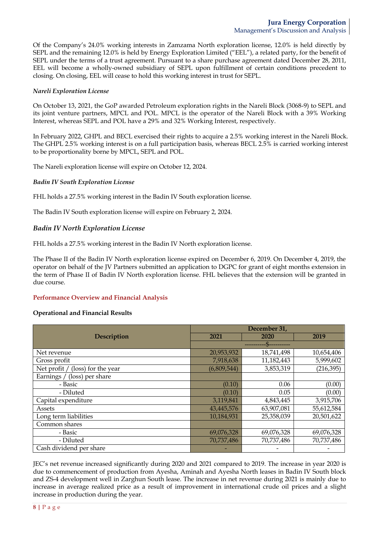Of the Company's 24.0% working interests in Zamzama North exploration license, 12.0% is held directly by SEPL and the remaining 12.0% is held by Energy Exploration Limited ("EEL"), a related party, for the benefit of SEPL under the terms of a trust agreement. Pursuant to a share purchase agreement dated December 28, 2011, EEL will become a wholly-owned subsidiary of SEPL upon fulfillment of certain conditions precedent to closing. On closing, EEL will cease to hold this working interest in trust for SEPL.

### *Nareli Exploration License*

On October 13, 2021, the GoP awarded Petroleum exploration rights in the Nareli Block (3068-9) to SEPL and its joint venture partners, MPCL and POL. MPCL is the operator of the Nareli Block with a 39% Working Interest, whereas SEPL and POL have a 29% and 32% Working Interest, respectively.

In February 2022, GHPL and BECL exercised their rights to acquire a 2.5% working interest in the Nareli Block. The GHPL 2.5% working interest is on a full participation basis, whereas BECL 2.5% is carried working interest to be proportionality borne by MPCL, SEPL and POL.

The Nareli exploration license will expire on October 12, 2024.

### *Badin IV South Exploration License*

FHL holds a 27.5% working interest in the Badin IV South exploration license.

The Badin IV South exploration license will expire on February 2, 2024.

## *Badin IV North Exploration License*

FHL holds a 27.5% working interest in the Badin IV North exploration license.

The Phase II of the Badin IV North exploration license expired on December 6, 2019. On December 4, 2019, the operator on behalf of the JV Partners submitted an application to DGPC for grant of eight months extension in the term of Phase II of Badin IV North exploration license. FHL believes that the extension will be granted in due course.

## **Performance Overview and Financial Analysis**

## **Operational and Financial Results**

|                                     | December 31, |            |            |  |  |
|-------------------------------------|--------------|------------|------------|--|--|
| <b>Description</b>                  | 2021         | 2020       | 2019       |  |  |
|                                     |              |            |            |  |  |
| Net revenue                         | 20,953,932   | 18,741,498 | 10,654,406 |  |  |
| Gross profit                        | 7,918,638    | 11,182,443 | 5,999,602  |  |  |
| Net profit /<br>(loss) for the year | (6,809,544)  | 3,853,319  | (216, 395) |  |  |
| Earnings / (loss) per share         |              |            |            |  |  |
| - Basic                             | (0.10)       | 0.06       | (0.00)     |  |  |
| - Diluted                           | (0.10)       | 0.05       | (0.00)     |  |  |
| Capital expenditure                 | 3,119,841    | 4,843,445  | 3,915,706  |  |  |
| Assets                              | 43,445,576   | 63,907,081 | 55,612,584 |  |  |
| Long term liabilities               | 10,184,931   | 25,358,039 | 20,501,622 |  |  |
| Common shares                       |              |            |            |  |  |
| - Basic                             | 69,076,328   | 69,076,328 | 69,076,328 |  |  |
| - Diluted                           | 70,737,486   | 70,737,486 | 70,737,486 |  |  |
| Cash dividend per share             |              |            |            |  |  |

JEC's net revenue increased significantly during 2020 and 2021 compared to 2019. The increase in year 2020 is due to commencement of production from Ayesha, Aminah and Ayesha North leases in Badin IV South block and ZS-4 development well in Zarghun South lease. The increase in net revenue during 2021 is mainly due to increase in average realized price as a result of improvement in international crude oil prices and a slight increase in production during the year.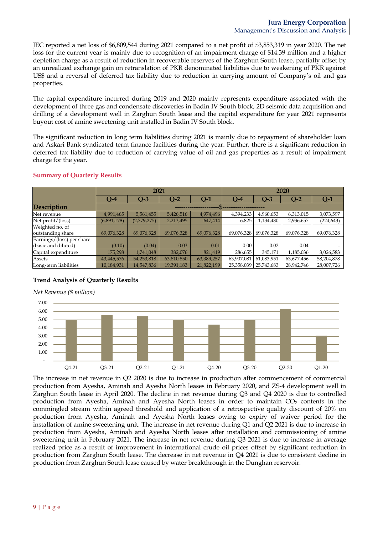JEC reported a net loss of \$6,809,544 during 2021 compared to a net profit of \$3,853,319 in year 2020. The net loss for the current year is mainly due to recognition of an impairment charge of \$14.39 million and a higher depletion charge as a result of reduction in recoverable reserves of the Zarghun South lease, partially offset by an unrealized exchange gain on retranslation of PKR denominated liabilities due to weakening of PKR against US\$ and a reversal of deferred tax liability due to reduction in carrying amount of Company's oil and gas properties.

The capital expenditure incurred during 2019 and 2020 mainly represents expenditure associated with the development of three gas and condensate discoveries in Badin IV South block, 2D seismic data acquisition and drilling of a development well in Zarghun South lease and the capital expenditure for year 2021 represents buyout cost of amine sweetening unit installed in Badin IV South block.

The significant reduction in long term liabilities during 2021 is mainly due to repayment of shareholder loan and Askari Bank syndicated term finance facilities during the year. Further, there is a significant reduction in deferred tax liability due to reduction of carrying value of oil and gas properties as a result of impairment charge for the year.

|                           | 2021        |             |            |            |            | 2020       |            |            |
|---------------------------|-------------|-------------|------------|------------|------------|------------|------------|------------|
|                           | $Q-4$       | $Q-3$       | $Q-2$      | Q-1        | $Q-4$      | $Q-3$      | $Q-2$      | $Q-1$      |
| <b>Description</b>        |             |             |            |            |            |            |            |            |
| Net revenue               | 4,991,465   | 5,561,455   | 5,426,516  | 4,974,496  | 4,394,233  | 4,960,653  | 6,313,015  | 3,073,597  |
| Net profit/(loss)         | (6,891,178) | (2,779,275) | 2,213,495  | 647,414    | 6,825      | 1,134,480  | 2,936,657  | (224, 643) |
| Weighted no. of           |             |             |            |            |            |            |            |            |
| outstanding share         | 69,076,328  | 69,076,328  | 69,076,328 | 69,076,328 | 69,076,328 | 69,076,328 | 69,076,328 | 69,076,328 |
| Earnings/(loss) per share |             |             |            |            |            |            |            |            |
| (basic and diluted)       | (0.10)      | (0.04)      | 0.03       | 0.01       | 0.00       | 0.02       | 0.04       |            |
| Capital expenditure       | 175,298     | 1,741,048   | 382,076    | 821,419    | 286,655    | 345,171    | 1,185,036  | 3,026,583  |
| Assets                    | 43,445,576  | 54,253,818  | 63,810,850 | 63,389,257 | 63,907,081 | 61,083,951 | 63,677,456 | 58,204,878 |
| Long-term liabilities     | 10,184,931  | 14,547,836  | 19,391,183 | 21,822,199 | 25,358,039 | 25,743,683 | 28,942,746 | 28,007,726 |

# **Summary of Quarterly Results**

# **Trend Analysis of Quarterly Results**

#### *Net Revenue (\$ million)*



The increase in net revenue in Q2 2020 is due to increase in production after commencement of commercial production from Ayesha, Aminah and Ayesha North leases in February 2020, and ZS-4 development well in Zarghun South lease in April 2020. The decline in net revenue during Q3 and Q4 2020 is due to controlled production from Ayesha, Aminah and Ayesha North leases in order to maintain  $CO<sub>2</sub>$  contents in the commingled stream within agreed threshold and application of a retrospective quality discount of 20% on production from Ayesha, Aminah and Ayesha North leases owing to expiry of waiver period for the installation of amine sweetening unit. The increase in net revenue during Q1 and Q2 2021 is due to increase in production from Ayesha, Aminah and Ayesha North leases after installation and commissioning of amine sweetening unit in February 2021. The increase in net revenue during Q3 2021 is due to increase in average realized price as a result of improvement in international crude oil prices offset by significant reduction in production from Zarghun South lease. The decrease in net revenue in Q4 2021 is due to consistent decline in production from Zarghun South lease caused by water breakthrough in the Dunghan reservoir.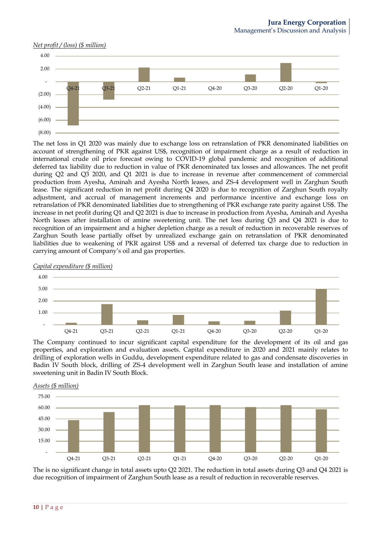#### *Net profit / (loss) (\$ million)*



The net loss in Q1 2020 was mainly due to exchange loss on retranslation of PKR denominated liabilities on account of strengthening of PKR against US\$, recognition of impairment charge as a result of reduction in international crude oil price forecast owing to COVID-19 global pandemic and recognition of additional deferred tax liability due to reduction in value of PKR denominated tax losses and allowances. The net profit during Q2 and Q3 2020, and Q1 2021 is due to increase in revenue after commencement of commercial production from Ayesha, Aminah and Ayesha North leases, and ZS-4 development well in Zarghun South lease. The significant reduction in net profit during Q4 2020 is due to recognition of Zarghun South royalty adjustment, and accrual of management increments and performance incentive and exchange loss on retranslation of PKR denominated liabilities due to strengthening of PKR exchange rate parity against US\$. The increase in net profit during Q1 and Q2 2021 is due to increase in production from Ayesha, Aminah and Ayesha North leases after installation of amine sweetening unit. The net loss during Q3 and Q4 2021 is due to recognition of an impairment and a higher depletion charge as a result of reduction in recoverable reserves of Zarghun South lease partially offset by unrealized exchange gain on retranslation of PKR denominated liabilities due to weakening of PKR against US\$ and a reversal of deferred tax charge due to reduction in carrying amount of Company's oil and gas properties.



*Capital expenditure (\$ million)*

The Company continued to incur significant capital expenditure for the development of its oil and gas properties, and exploration and evaluation assets. Capital expenditure in 2020 and 2021 mainly relates to drilling of exploration wells in Guddu, development expenditure related to gas and condensate discoveries in Badin IV South block, drilling of ZS-4 development well in Zarghun South lease and installation of amine sweetening unit in Badin IV South Block.



*Assets (\$ million)*

The is no significant change in total assets upto Q2 2021. The reduction in total assets during Q3 and Q4 2021 is due recognition of impairment of Zarghun South lease as a result of reduction in recoverable reserves.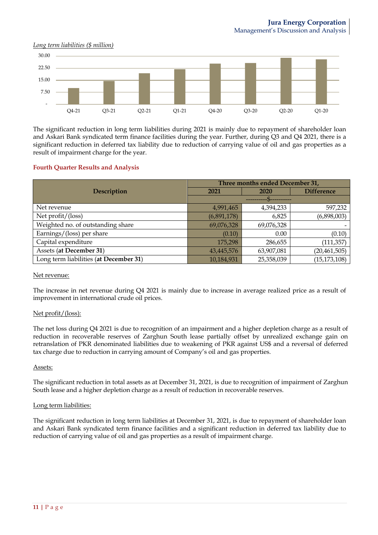#### *Long term liabilities (\$ million)*



The significant reduction in long term liabilities during 2021 is mainly due to repayment of shareholder loan and Askari Bank syndicated term finance facilities during the year. Further, during Q3 and Q4 2021, there is a significant reduction in deferred tax liability due to reduction of carrying value of oil and gas properties as a result of impairment charge for the year.

#### **Fourth Quarter Results and Analysis**

|                                        | Three months ended December 31, |            |                |  |  |
|----------------------------------------|---------------------------------|------------|----------------|--|--|
| Description                            | 2021                            | 2020       |                |  |  |
|                                        |                                 |            |                |  |  |
| Net revenue                            | 4,991,465                       | 4,394,233  | 597,232        |  |  |
| Net $profit/$ (loss)                   | (6,891,178)                     | 6,825      | (6,898,003)    |  |  |
| Weighted no. of outstanding share      | 69,076,328                      | 69,076,328 |                |  |  |
| Earnings/(loss) per share              | (0.10)                          | 0.00       | (0.10)         |  |  |
| Capital expenditure                    | 175,298                         | 286,655    | (111, 357)     |  |  |
| Assets (at December 31)                | 43,445,576                      | 63,907,081 | (20, 461, 505) |  |  |
| Long term liabilities (at December 31) | 10,184,931                      | 25,358,039 | (15, 173, 108) |  |  |

#### Net revenue:

The increase in net revenue during Q4 2021 is mainly due to increase in average realized price as a result of improvement in international crude oil prices.

#### Net profit/(loss):

The net loss during Q4 2021 is due to recognition of an impairment and a higher depletion charge as a result of reduction in recoverable reserves of Zarghun South lease partially offset by unrealized exchange gain on retranslation of PKR denominated liabilities due to weakening of PKR against US\$ and a reversal of deferred tax charge due to reduction in carrying amount of Company's oil and gas properties.

#### Assets:

The significant reduction in total assets as at December 31, 2021, is due to recognition of impairment of Zarghun South lease and a higher depletion charge as a result of reduction in recoverable reserves.

#### Long term liabilities:

The significant reduction in long term liabilities at December 31, 2021, is due to repayment of shareholder loan and Askari Bank syndicated term finance facilities and a significant reduction in deferred tax liability due to reduction of carrying value of oil and gas properties as a result of impairment charge.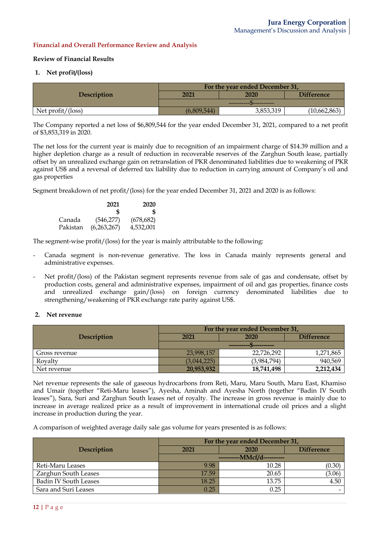## **Financial and Overall Performance Review and Analysis**

### **Review of Financial Results**

### **1. Net profit/(loss)**

|                      | For the year ended December 31, |           |                   |  |
|----------------------|---------------------------------|-----------|-------------------|--|
| Description          | 2021                            | 2020      | <b>Difference</b> |  |
|                      |                                 |           |                   |  |
| Net $profit/$ (loss) | (6,809,544)                     | 3,853,319 | (10,662,863)      |  |

The Company reported a net loss of \$6,809,544 for the year ended December 31, 2021, compared to a net profit of \$3,853,319 in 2020.

The net loss for the current year is mainly due to recognition of an impairment charge of \$14.39 million and a higher depletion charge as a result of reduction in recoverable reserves of the Zarghun South lease, partially offset by an unrealized exchange gain on retranslation of PKR denominated liabilities due to weakening of PKR against US\$ and a reversal of deferred tax liability due to reduction in carrying amount of Company's oil and gas properties

Segment breakdown of net profit/(loss) for the year ended December 31, 2021 and 2020 is as follows:

|          | 2021        | 2020       |
|----------|-------------|------------|
|          | Я           | S          |
| Canada   | (546, 277)  | (678, 682) |
| Pakistan | (6,263,267) | 4,532,001  |

The segment-wise profit/(loss) for the year is mainly attributable to the following:

- Canada segment is non-revenue generative. The loss in Canada mainly represents general and administrative expenses.
- Net profit/(loss) of the Pakistan segment represents revenue from sale of gas and condensate, offset by production costs, general and administrative expenses, impairment of oil and gas properties, finance costs and unrealized exchange gain/(loss) on foreign currency denominated liabilities due to strengthening/weakening of PKR exchange rate parity against US\$.

#### **2. Net revenue**

|                    | For the year ended December 31, |             |                   |  |  |
|--------------------|---------------------------------|-------------|-------------------|--|--|
| <b>Description</b> | 2021                            | 2020        | <b>Difference</b> |  |  |
|                    | __________                      |             |                   |  |  |
| Gross revenue      | 23,998,157                      | 22,726,292  | 1,271,865         |  |  |
| Royalty            | (3,044,225)                     | (3,984,794) | 940,569           |  |  |
| Net revenue        | 20,953,932                      | 18,741,498  | 2,212,434         |  |  |

Net revenue represents the sale of gaseous hydrocarbons from Reti, Maru, Maru South, Maru East, Khamiso and Umair (together "Reti-Maru leases"), Ayesha, Aminah and Ayesha North (together "Badin IV South leases"), Sara, Suri and Zarghun South leases net of royalty. The increase in gross revenue is mainly due to increase in average realized price as a result of improvement in international crude oil prices and a slight increase in production during the year.

A comparison of weighted average daily sale gas volume for years presented is as follows:

|                              | For the year ended December 31, |       |                   |  |
|------------------------------|---------------------------------|-------|-------------------|--|
| <b>Description</b>           | 2021                            | 2020  | <b>Difference</b> |  |
|                              | -----------MMcf/d----------     |       |                   |  |
| Reti-Maru Leases             | 9.98                            | 10.28 | (0.30)            |  |
| Zarghun South Leases         | 17.59                           | 20.65 | (3.06)            |  |
| <b>Badin IV South Leases</b> | 18.25                           | 13.75 | 4.50              |  |
| Sara and Suri Leases         | 0.25                            | 0.25  |                   |  |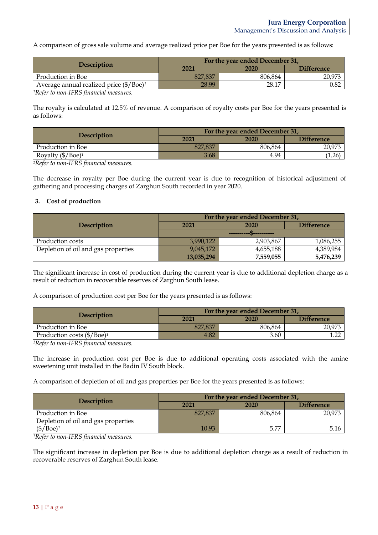A comparison of gross sale volume and average realized price per Boe for the years presented is as follows:

| <b>Description</b>                                       | For the year ended December 31, |         |                   |  |
|----------------------------------------------------------|---------------------------------|---------|-------------------|--|
|                                                          | 2021                            | 2020    | <b>Difference</b> |  |
| Production in Boe                                        | 827.837                         | 806.864 | 20,973            |  |
| Average annual realized price $(\frac{6}{B}\text{oe})^1$ | 28.99                           | 28.17   | 0.82              |  |

*1Refer to non-IFRS financial measures.*

The royalty is calculated at 12.5% of revenue. A comparison of royalty costs per Boe for the years presented is as follows:

| <b>Description</b>                 | For the year ended December 31, |         |                   |  |
|------------------------------------|---------------------------------|---------|-------------------|--|
|                                    | 2021                            | 2020    | <b>Difference</b> |  |
| Production in Boe                  | 827,837                         | 806.864 | 20,973            |  |
| Royalty $(\frac{6}{\text{Boe}})^1$ | 3.68                            | 4.94    | 1.26              |  |

*1Refer to non-IFRS financial measures.*

The decrease in royalty per Boe during the current year is due to recognition of historical adjustment of gathering and processing charges of Zarghun South recorded in year 2020.

### **3. Cost of production**

|                                     | For the year ended December 31,                                                                                                                                                                                                                                 |             |                   |  |  |
|-------------------------------------|-----------------------------------------------------------------------------------------------------------------------------------------------------------------------------------------------------------------------------------------------------------------|-------------|-------------------|--|--|
| <b>Description</b>                  | 2021                                                                                                                                                                                                                                                            | <b>2020</b> | <b>Difference</b> |  |  |
|                                     | -----------<br><b><i><u> 1980 - 1980 - 1980 - 1980 - 1980 - 1980 - 1980 - 1980 - 1980 - 1980 - 1980 - 1980 - 1980 - 1980 - 1980 - 1980 - 1980 - 1980 - 1980 - 1980 - 1980 - 1980 - 1980 - 1980 - 1980 - 1980 - 1980 - 1980 - 1980 - 1980 - 1980 - 1</u></i></b> |             |                   |  |  |
| Production costs                    | 3,990,122                                                                                                                                                                                                                                                       | 2,903,867   | 1,086,255         |  |  |
| Depletion of oil and gas properties | 9,045,172                                                                                                                                                                                                                                                       | 4,655,188   | 4,389,984         |  |  |
|                                     | 13,035,294                                                                                                                                                                                                                                                      | 7,559,055   | 5,476,239         |  |  |

The significant increase in cost of production during the current year is due to additional depletion charge as a result of reduction in recoverable reserves of Zarghun South lease.

A comparison of production cost per Boe for the years presented is as follows:

| <b>Description</b>                           | For the year ended December 31, |         |                   |  |
|----------------------------------------------|---------------------------------|---------|-------------------|--|
|                                              | 2021                            | 2020    | <b>Difference</b> |  |
| Production in Boe                            | 827.837                         | 806.864 | 20,973            |  |
| Production costs $(\frac{6}{B}\text{Oee})^1$ | 4.82                            | 3.60    | ר הי              |  |

*1Refer to non-IFRS financial measures.*

The increase in production cost per Boe is due to additional operating costs associated with the amine sweetening unit installed in the Badin IV South block.

A comparison of depletion of oil and gas properties per Boe for the years presented is as follows:

| <b>Description</b>                            | For the year ended December 31, |         |                   |  |
|-----------------------------------------------|---------------------------------|---------|-------------------|--|
|                                               | 2021                            | 2020    | <b>Difference</b> |  |
| Production in Boe                             | 827,837                         | 806.864 | 20,973            |  |
| Depletion of oil and gas properties           |                                 |         |                   |  |
| $(\frac{6}{\text{P}})\text{Boe}$ <sup>1</sup> | 10.93                           | 5.77    | 5.16              |  |

*1Refer to non-IFRS financial measures.*

The significant increase in depletion per Boe is due to additional depletion charge as a result of reduction in recoverable reserves of Zarghun South lease.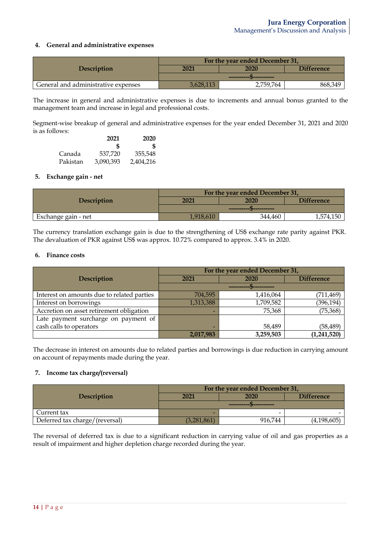## **4. General and administrative expenses**

|                                     | For the year ended December 31, |           |                   |  |
|-------------------------------------|---------------------------------|-----------|-------------------|--|
| Description                         | 2021                            | 2020      | <b>Difference</b> |  |
|                                     |                                 |           |                   |  |
| General and administrative expenses | 3.628.113                       | 2,759,764 | 868,349           |  |

The increase in general and administrative expenses is due to increments and annual bonus granted to the management team and increase in legal and professional costs.

Segment-wise breakup of general and administrative expenses for the year ended December 31, 2021 and 2020 is as follows:

|          | 2021      | 2020      |
|----------|-----------|-----------|
|          | £.        | S         |
| Canada   | 537,720   | 355,548   |
| Pakistan | 3,090,393 | 2,404,216 |

### **5. Exchange gain - net**

|                     | For the year ended December 31, |         |                   |  |
|---------------------|---------------------------------|---------|-------------------|--|
| <b>Description</b>  | 2021                            | 2020    | <b>Difference</b> |  |
|                     |                                 |         |                   |  |
| Exchange gain - net |                                 | 344.460 | 4,150             |  |

The currency translation exchange gain is due to the strengthening of US\$ exchange rate parity against PKR. The devaluation of PKR against US\$ was approx. 10.72% compared to approx. 3.4% in 2020.

### **6. Finance costs**

|                                            | For the year ended December 31, |           |                   |  |
|--------------------------------------------|---------------------------------|-----------|-------------------|--|
| Description                                | 2021                            | 2020      | <b>Difference</b> |  |
|                                            |                                 |           |                   |  |
| Interest on amounts due to related parties | 704,595                         | 1,416,064 | (711, 469)        |  |
| Interest on borrowings                     | 1,313,388                       | 1,709,582 | (396, 194)        |  |
| Accretion on asset retirement obligation   |                                 | 75,368    | (75, 368)         |  |
| Late payment surcharge on payment of       |                                 |           |                   |  |
| cash calls to operators                    |                                 | 58,489    | (58, 489)         |  |
|                                            | 2,017,983                       | 3,259,503 | (1,241,520)       |  |

The decrease in interest on amounts due to related parties and borrowings is due reduction in carrying amount on account of repayments made during the year.

## **7. Income tax charge/(reversal)**

|                                | For the year ended December 31, |         |                   |  |
|--------------------------------|---------------------------------|---------|-------------------|--|
| <b>Description</b>             | 2021                            | 2020    | <b>Difference</b> |  |
|                                | __________<br>__________        |         |                   |  |
| Current tax                    |                                 | -       |                   |  |
| Deferred tax charge/(reversal) | (3,281,861)                     | 916.744 | (4,198,605)       |  |

The reversal of deferred tax is due to a significant reduction in carrying value of oil and gas properties as a result of impairment and higher depletion charge recorded during the year.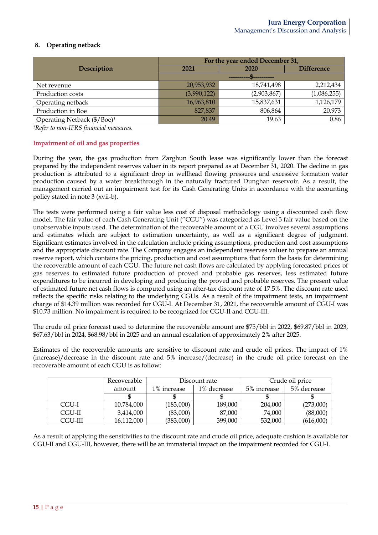# **8. Operating netback**

|                                         | For the year ended December 31, |             |                   |  |
|-----------------------------------------|---------------------------------|-------------|-------------------|--|
| Description                             | 2021                            | 2020        | <b>Difference</b> |  |
|                                         |                                 |             |                   |  |
| Net revenue                             | 20,953,932                      | 18,741,498  | 2,212,434         |  |
| Production costs                        | (3,990,122)                     | (2,903,867) | (1,086,255)       |  |
| Operating netback                       | 16,963,810                      | 15,837,631  | 1,126,179         |  |
| Production in Boe                       | 827,837                         | 806,864     | 20,973            |  |
| Operating Netback (\$/Boe) <sup>1</sup> | 20.49                           | 19.63       | 0.86              |  |

*1Refer to non-IFRS financial measures.*

## **Impairment of oil and gas properties**

During the year, the gas production from Zarghun South lease was significantly lower than the forecast prepared by the independent reserves valuer in its report prepared as at December 31, 2020. The decline in gas production is attributed to a significant drop in wellhead flowing pressures and excessive formation water production caused by a water breakthrough in the naturally fractured Dunghan reservoir. As a result, the management carried out an impairment test for its Cash Generating Units in accordance with the accounting policy stated in note 3 (xvii-b).

The tests were performed using a fair value less cost of disposal methodology using a discounted cash flow model. The fair value of each Cash Generating Unit ("CGU") was categorized as Level 3 fair value based on the unobservable inputs used. The determination of the recoverable amount of a CGU involves several assumptions and estimates which are subject to estimation uncertainty, as well as a significant degree of judgment. Significant estimates involved in the calculation include pricing assumptions, production and cost assumptions and the appropriate discount rate. The Company engages an independent reserves valuer to prepare an annual reserve report, which contains the pricing, production and cost assumptions that form the basis for determining the recoverable amount of each CGU. The future net cash flows are calculated by applying forecasted prices of gas reserves to estimated future production of proved and probable gas reserves, less estimated future expenditures to be incurred in developing and producing the proved and probable reserves. The present value of estimated future net cash flows is computed using an after-tax discount rate of 17.5%. The discount rate used reflects the specific risks relating to the underlying CGUs. As a result of the impairment tests, an impairment charge of \$14.39 million was recorded for CGU-I. At December 31, 2021, the recoverable amount of CGU-I was \$10.73 million. No impairment is required to be recognized for CGU-II and CGU-III.

The crude oil price forecast used to determine the recoverable amount are \$75/bbl in 2022, \$69.87/bbl in 2023, \$67.63/bbl in 2024, \$68.98/bbl in 2025 and an annual escalation of approximately 2% after 2025.

Estimates of the recoverable amounts are sensitive to discount rate and crude oil prices. The impact of 1% (increase)/decrease in the discount rate and 5% increase/(decrease) in the crude oil price forecast on the recoverable amount of each CGU is as follow:

|         | Recoverable | Discount rate |             |             | Crude oil price |
|---------|-------------|---------------|-------------|-------------|-----------------|
|         | amount      | 1% increase   | 1% decrease | 5% increase | 5% decrease     |
|         |             |               |             |             |                 |
| CGU-I   | 10,784,000  | (183,000)     | 189,000     | 204,000     | (273,000)       |
| CGU-II  | 3,414,000   | (83,000)      | 87,000      | 74,000      | (88,000)        |
| CGU-III | 16,112,000  | (383,000)     | 399,000     | 532,000     | (616,000)       |

As a result of applying the sensitivities to the discount rate and crude oil price, adequate cushion is available for CGU-II and CGU-III, however, there will be an immaterial impact on the impairment recorded for CGU-I.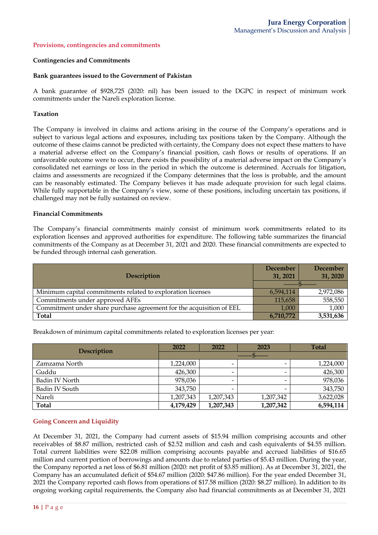#### **Provisions, contingencies and commitments**

#### **Contingencies and Commitments**

#### **Bank guarantees issued to the Government of Pakistan**

A bank guarantee of \$928,725 (2020: nil) has been issued to the DGPC in respect of minimum work commitments under the Nareli exploration license.

#### **Taxation**

The Company is involved in claims and actions arising in the course of the Company's operations and is subject to various legal actions and exposures, including tax positions taken by the Company. Although the outcome of these claims cannot be predicted with certainty, the Company does not expect these matters to have a material adverse effect on the Company's financial position, cash flows or results of operations. If an unfavorable outcome were to occur, there exists the possibility of a material adverse impact on the Company's consolidated net earnings or loss in the period in which the outcome is determined. Accruals for litigation, claims and assessments are recognized if the Company determines that the loss is probable, and the amount can be reasonably estimated. The Company believes it has made adequate provision for such legal claims. While fully supportable in the Company's view, some of these positions, including uncertain tax positions, if challenged may not be fully sustained on review.

#### **Financial Commitments**

The Company's financial commitments mainly consist of minimum work commitments related to its exploration licenses and approved authorities for expenditure. The following table summarizes the financial commitments of the Company as at December 31, 2021 and 2020. These financial commitments are expected to be funded through internal cash generation.

| Description                                                          | <b>December</b><br>31, 2021 | December<br>31, 2020 |
|----------------------------------------------------------------------|-----------------------------|----------------------|
|                                                                      |                             |                      |
| Minimum capital commitments related to exploration licenses          | 6,594,114                   | 2,972,086            |
| Commitments under approved AFEs                                      | 115,658                     | 558,550              |
| Commitment under share purchase agreement for the acquisition of EEL | 1,000                       | 1,000                |
| <b>Total</b>                                                         | 6,710,772                   | 3,531,636            |

Breakdown of minimum capital commitments related to exploration licenses per year:

| Description    | 2022      | 2022                     | 2023      | <b>Total</b> |
|----------------|-----------|--------------------------|-----------|--------------|
|                |           |                          |           |              |
| Zamzama North  | 1,224,000 | -                        |           | 1,224,000    |
| Guddu          | 426,300   | -                        |           | 426,300      |
| Badin IV North | 978,036   | $\overline{\phantom{0}}$ |           | 978,036      |
| Badin IV South | 343,750   |                          |           | 343,750      |
| Nareli         | 1,207,343 | 1,207,343                | 1,207,342 | 3,622,028    |
| <b>Total</b>   | 4,179,429 | 1,207,343                | 1,207,342 | 6,594,114    |

### **Going Concern and Liquidity**

At December 31, 2021, the Company had current assets of \$15.94 million comprising accounts and other receivables of \$8.87 million, restricted cash of \$2.52 million and cash and cash equivalents of \$4.55 million. Total current liabilities were \$22.08 million comprising accounts payable and accrued liabilities of \$16.65 million and current portion of borrowings and amounts due to related parties of \$5.43 million. During the year, the Company reported a net loss of \$6.81 million (2020: net profit of \$3.85 million). As at December 31, 2021, the Company has an accumulated deficit of \$54.67 million (2020: \$47.86 million). For the year ended December 31, 2021 the Company reported cash flows from operations of \$17.58 million (2020: \$8.27 million). In addition to its ongoing working capital requirements, the Company also had financial commitments as at December 31, 2021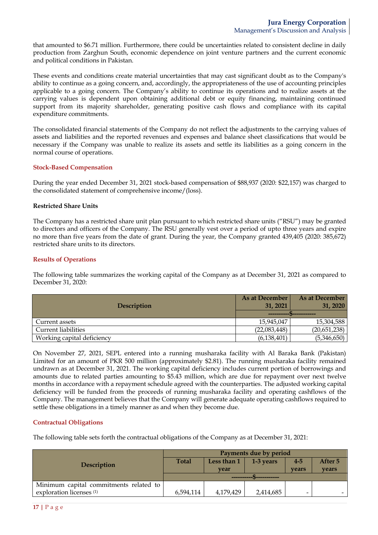that amounted to \$6.71 million*.* Furthermore, there could be uncertainties related to consistent decline in daily production from Zarghun South, economic dependence on joint venture partners and the current economic and political conditions in Pakistan.

These events and conditions create material uncertainties that may cast significant doubt as to the Company's ability to continue as a going concern, and, accordingly, the appropriateness of the use of accounting principles applicable to a going concern. The Company's ability to continue its operations and to realize assets at the carrying values is dependent upon obtaining additional debt or equity financing, maintaining continued support from its majority shareholder, generating positive cash flows and compliance with its capital expenditure commitments.

The consolidated financial statements of the Company do not reflect the adjustments to the carrying values of assets and liabilities and the reported revenues and expenses and balance sheet classifications that would be necessary if the Company was unable to realize its assets and settle its liabilities as a going concern in the normal course of operations.

### **Stock-Based Compensation**

During the year ended December 31, 2021 stock-based compensation of \$88,937 (2020: \$22,157) was charged to the consolidated statement of comprehensive income/(loss).

### **Restricted Share Units**

The Company has a restricted share unit plan pursuant to which restricted share units ("RSU") may be granted to directors and officers of the Company. The RSU generally vest over a period of upto three years and expire no more than five years from the date of grant. During the year, the Company granted 439,405 (2020: 385,672) restricted share units to its directors.

## **Results of Operations**

The following table summarizes the working capital of the Company as at December 31, 2021 as compared to December 31, 2020:

|                            | As at December | As at December |
|----------------------------|----------------|----------------|
| <b>Description</b>         | 31, 2021       | 31, 2020       |
|                            |                |                |
| Current assets             | 15,945,047     | 15,304,588     |
| <b>Current liabilities</b> | (22,083,448)   | (20,651,238)   |
| Working capital deficiency | (6, 138, 401)  | (5,346,650)    |

On November 27, 2021, SEPL entered into a running musharaka facility with Al Baraka Bank (Pakistan) Limited for an amount of PKR 500 million (approximately \$2.81). The running musharaka facility remained undrawn as at December 31, 2021. The working capital deficiency includes current portion of borrowings and amounts due to related parties amounting to \$5.43 million, which are due for repayment over next twelve months in accordance with a repayment schedule agreed with the counterparties. The adjusted working capital deficiency will be funded from the proceeds of running musharaka facility and operating cashflows of the Company. The management believes that the Company will generate adequate operating cashflows required to settle these obligations in a timely manner as and when they become due.

## **Contractual Obligations**

The following table sets forth the contractual obligations of the Company as at December 31, 2021:

|                                        | Payments due by period |             |           |         |         |
|----------------------------------------|------------------------|-------------|-----------|---------|---------|
| <b>Description</b>                     | <b>Total</b>           | Less than 1 | 1-3 years | $4 - 5$ | After 5 |
|                                        |                        | vear        |           | vears   | vears   |
|                                        |                        |             |           |         |         |
| Minimum capital commitments related to |                        |             |           |         |         |
| exploration licenses <sup>(1)</sup>    | 6,594,114              | 4,179,429   | 2,414,685 | -       |         |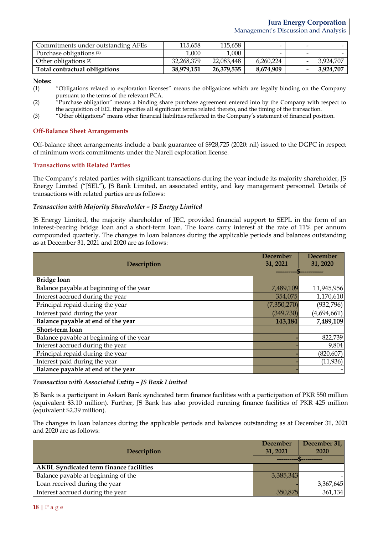| Commitments under outstanding AFEs  | 115.658    | 115,658    |           |                          |           |
|-------------------------------------|------------|------------|-----------|--------------------------|-----------|
| Purchase obligations <sup>(2)</sup> | .000       | 1.000      |           | $\overline{\phantom{0}}$ |           |
| Other obligations $(3)$             | 32,268,379 | 22.083.448 | 6,260,224 |                          | 3.924.707 |
| Total contractual obligations       | 38.979.151 | 26,379,535 | 8,674,909 |                          | 3.924.707 |

**Notes:**

- (1) "Obligations related to exploration licenses" means the obligations which are legally binding on the Company pursuant to the terms of the relevant PCA.
- (2) "Purchase obligation" means a binding share purchase agreement entered into by the Company with respect to the acquisition of EEL that specifies all significant terms related thereto, and the timing of the transaction.
- (3) "Other obligations" means other financial liabilities reflected in the Company's statement of financial position.

#### **Off-Balance Sheet Arrangements**

Off-balance sheet arrangements include a bank guarantee of \$928,725 (2020: nil) issued to the DGPC in respect of minimum work commitments under the Nareli exploration license.

### **Transactions with Related Parties**

The Company's related parties with significant transactions during the year include its majority shareholder, JS Energy Limited ("JSEL"), JS Bank Limited, an associated entity, and key management personnel. Details of transactions with related parties are as follows:

### *Transaction with Majority Shareholder – JS Energy Limited*

JS Energy Limited, the majority shareholder of JEC, provided financial support to SEPL in the form of an interest-bearing bridge loan and a short-term loan. The loans carry interest at the rate of 11% per annum compounded quarterly. The changes in loan balances during the applicable periods and balances outstanding as at December 31, 2021 and 2020 are as follows:

| <b>Description</b>                       | <b>December</b><br>31, 2021 | <b>December</b><br>31, 2020 |
|------------------------------------------|-----------------------------|-----------------------------|
|                                          |                             |                             |
| <b>Bridge loan</b>                       |                             |                             |
| Balance payable at beginning of the year | 7,489,109                   | 11,945,956                  |
| Interest accrued during the year         | 354,075                     | 1,170,610                   |
| Principal repaid during the year         | (7,350,270)                 | (932, 796)                  |
| Interest paid during the year            | (349,730)                   | (4,694,661)                 |
| Balance payable at end of the year       | 143,184                     | 7,489,109                   |
| Short-term loan                          |                             |                             |
| Balance payable at beginning of the year |                             | 822,739                     |
| Interest accrued during the year         |                             | 9,804                       |
| Principal repaid during the year         |                             | (820, 607)                  |
| Interest paid during the year            |                             | (11, 936)                   |
| Balance payable at end of the year       |                             |                             |

#### *Transaction with Associated Entity – JS Bank Limited*

JS Bank is a participant in Askari Bank syndicated term finance facilities with a participation of PKR 550 million (equivalent \$3.10 million). Further, JS Bank has also provided running finance facilities of PKR 425 million (equivalent \$2.39 million).

The changes in loan balances during the applicable periods and balances outstanding as at December 31, 2021 and 2020 are as follows:

|                                                | December  | December 31, |
|------------------------------------------------|-----------|--------------|
| <b>Description</b>                             | 31, 2021  | 2020         |
|                                                |           |              |
| <b>AKBL Syndicated term finance facilities</b> |           |              |
| Balance payable at beginning of the            | 3,385,343 |              |
| Loan received during the year                  |           | 3,367,645    |
| Interest accrued during the year               | 350,875   | 361,134      |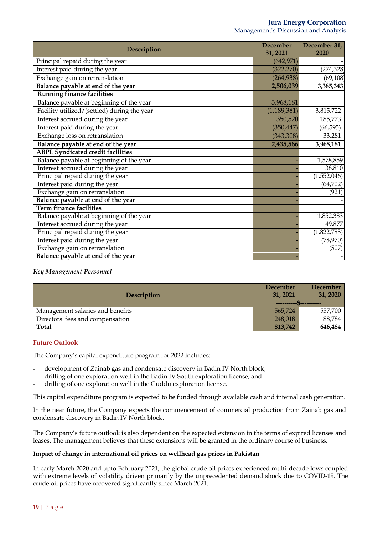| Description                                 | <b>December</b><br>31, 2021 | December 31,<br>2020 |
|---------------------------------------------|-----------------------------|----------------------|
| Principal repaid during the year            | (642, 971)                  |                      |
| Interest paid during the year               | (322, 270)                  | (274, 328)           |
| Exchange gain on retranslation              | (264, 938)                  | (69, 108)            |
| Balance payable at end of the year          | 2,506,039                   | 3,385,343            |
| <b>Running finance facilities</b>           |                             |                      |
| Balance payable at beginning of the year    | 3,968,181                   |                      |
| Facility utilized/(settled) during the year | (1, 189, 381)               | 3,815,722            |
| Interest accrued during the year            | 350,520                     | 185,773              |
| Interest paid during the year               | (350, 447)                  | (66, 595)            |
| Exchange loss on retranslation              | (343, 308)                  | 33,281               |
| Balance payable at end of the year          | 2,435,566                   | 3,968,181            |
| <b>ABPL</b> Syndicated credit facilities    |                             |                      |
| Balance payable at beginning of the year    |                             | 1,578,859            |
| Interest accrued during the year            |                             | 38,810               |
| Principal repaid during the year            |                             | (1,552,046)          |
| Interest paid during the year               |                             | (64, 702)            |
| Exchange gain on retranslation              |                             | (921)                |
| Balance payable at end of the year          |                             |                      |
| <b>Term finance facilities</b>              |                             |                      |
| Balance payable at beginning of the year    |                             | 1,852,383            |
| Interest accrued during the year            |                             | 49,877               |
| Principal repaid during the year            |                             | (1,822,783)          |
| Interest paid during the year               |                             | (78, 970)            |
| Exchange gain on retranslation              |                             | (507)                |
| Balance payable at end of the year          |                             |                      |

## *Key Management Personnel*

|                                  | December | <b>December</b> |
|----------------------------------|----------|-----------------|
| <b>Description</b>               | 31, 2021 | 31, 2020        |
|                                  |          |                 |
| Management salaries and benefits | 565,724  | 557,700         |
| Directors' fees and compensation | 248,018  | 88,784          |
| Total                            | 813,742  | 646,484         |

## **Future Outlook**

The Company's capital expenditure program for 2022 includes:

- development of Zainab gas and condensate discovery in Badin IV North block;
- drilling of one exploration well in the Badin IV South exploration license; and
- drilling of one exploration well in the Guddu exploration license.

This capital expenditure program is expected to be funded through available cash and internal cash generation.

In the near future, the Company expects the commencement of commercial production from Zainab gas and condensate discovery in Badin IV North block.

The Company's future outlook is also dependent on the expected extension in the terms of expired licenses and leases. The management believes that these extensions will be granted in the ordinary course of business.

## **Impact of change in international oil prices on wellhead gas prices in Pakistan**

In early March 2020 and upto February 2021, the global crude oil prices experienced multi-decade lows coupled with extreme levels of volatility driven primarily by the unprecedented demand shock due to COVID-19. The crude oil prices have recovered significantly since March 2021.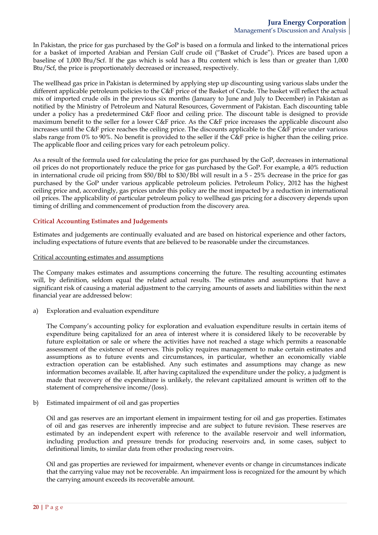In Pakistan, the price for gas purchased by the GoP is based on a formula and linked to the international prices for a basket of imported Arabian and Persian Gulf crude oil ("Basket of Crude"). Prices are based upon a baseline of 1,000 Btu/Scf. If the gas which is sold has a Btu content which is less than or greater than 1,000 Btu/Scf, the price is proportionately decreased or increased, respectively.

The wellhead gas price in Pakistan is determined by applying step up discounting using various slabs under the different applicable petroleum policies to the C&F price of the Basket of Crude. The basket will reflect the actual mix of imported crude oils in the previous six months (January to June and July to December) in Pakistan as notified by the Ministry of Petroleum and Natural Resources, Government of Pakistan. Each discounting table under a policy has a predetermined C&F floor and ceiling price. The discount table is designed to provide maximum benefit to the seller for a lower C&F price. As the C&F price increases the applicable discount also increases until the C&F price reaches the ceiling price. The discounts applicable to the C&F price under various slabs range from 0% to 90%. No benefit is provided to the seller if the C&F price is higher than the ceiling price. The applicable floor and ceiling prices vary for each petroleum policy.

As a result of the formula used for calculating the price for gas purchased by the GoP, decreases in international oil prices do not proportionately reduce the price for gas purchased by the GoP. For example, a 40% reduction in international crude oil pricing from \$50/Bbl to \$30/Bbl will result in a 5 - 25% decrease in the price for gas purchased by the GoP under various applicable petroleum policies. Petroleum Policy, 2012 has the highest ceiling price and, accordingly, gas prices under this policy are the most impacted by a reduction in international oil prices. The applicability of particular petroleum policy to wellhead gas pricing for a discovery depends upon timing of drilling and commencement of production from the discovery area.

## **Critical Accounting Estimates and Judgements**

Estimates and judgements are continually evaluated and are based on historical experience and other factors, including expectations of future events that are believed to be reasonable under the circumstances.

### Critical accounting estimates and assumptions

The Company makes estimates and assumptions concerning the future. The resulting accounting estimates will, by definition, seldom equal the related actual results. The estimates and assumptions that have a significant risk of causing a material adjustment to the carrying amounts of assets and liabilities within the next financial year are addressed below:

a) Exploration and evaluation expenditure

The Company's accounting policy for exploration and evaluation expenditure results in certain items of expenditure being capitalized for an area of interest where it is considered likely to be recoverable by future exploitation or sale or where the activities have not reached a stage which permits a reasonable assessment of the existence of reserves. This policy requires management to make certain estimates and assumptions as to future events and circumstances, in particular, whether an economically viable extraction operation can be established. Any such estimates and assumptions may change as new information becomes available. If, after having capitalized the expenditure under the policy, a judgment is made that recovery of the expenditure is unlikely, the relevant capitalized amount is written off to the statement of comprehensive income/(loss).

b) Estimated impairment of oil and gas properties

Oil and gas reserves are an important element in impairment testing for oil and gas properties. Estimates of oil and gas reserves are inherently imprecise and are subject to future revision. These reserves are estimated by an independent expert with reference to the available reservoir and well information, including production and pressure trends for producing reservoirs and, in some cases, subject to definitional limits, to similar data from other producing reservoirs.

Oil and gas properties are reviewed for impairment, whenever events or change in circumstances indicate that the carrying value may not be recoverable. An impairment loss is recognized for the amount by which the carrying amount exceeds its recoverable amount.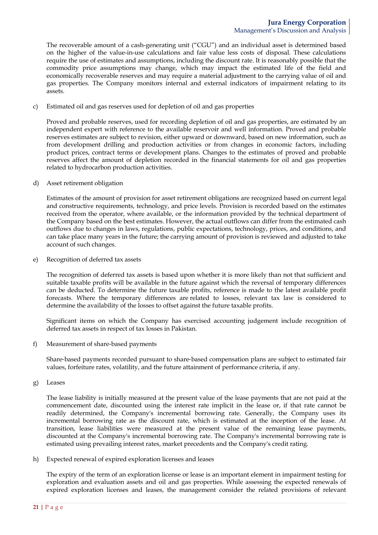The recoverable amount of a cash-generating unit ("CGU") and an individual asset is determined based on the higher of the value-in-use calculations and fair value less costs of disposal. These calculations require the use of estimates and assumptions, including the discount rate. It is reasonably possible that the commodity price assumptions may change, which may impact the estimated life of the field and economically recoverable reserves and may require a material adjustment to the carrying value of oil and gas properties. The Company monitors internal and external indicators of impairment relating to its assets.

c) Estimated oil and gas reserves used for depletion of oil and gas properties

Proved and probable reserves, used for recording depletion of oil and gas properties, are estimated by an independent expert with reference to the available reservoir and well information. Proved and probable reserves estimates are subject to revision, either upward or downward, based on new information, such as from development drilling and production activities or from changes in economic factors, including product prices, contract terms or development plans. Changes to the estimates of proved and probable reserves affect the amount of depletion recorded in the financial statements for oil and gas properties related to hydrocarbon production activities.

d) Asset retirement obligation

Estimates of the amount of provision for asset retirement obligations are recognized based on current legal and constructive requirements, technology, and price levels. Provision is recorded based on the estimates received from the operator, where available, or the information provided by the technical department of the Company based on the best estimates. However, the actual outflows can differ from the estimated cash outflows due to changes in laws, regulations, public expectations, technology, prices, and conditions, and can take place many years in the future; the carrying amount of provision is reviewed and adjusted to take account of such changes.

e) Recognition of deferred tax assets

The recognition of deferred tax assets is based upon whether it is more likely than not that sufficient and suitable taxable profits will be available in the future against which the reversal of temporary differences can be deducted. To determine the future taxable profits, reference is made to the latest available profit forecasts. Where the temporary differences are related to losses, relevant tax law is considered to determine the availability of the losses to offset against the future taxable profits.

Significant items on which the Company has exercised accounting judgement include recognition of deferred tax assets in respect of tax losses in Pakistan.

f) Measurement of share-based payments

Share-based payments recorded pursuant to share-based compensation plans are subject to estimated fair values, forfeiture rates, volatility, and the future attainment of performance criteria, if any.

g) Leases

The lease liability is initially measured at the present value of the lease payments that are not paid at the commencement date, discounted using the interest rate implicit in the lease or, if that rate cannot be readily determined, the Company's incremental borrowing rate. Generally, the Company uses its incremental borrowing rate as the discount rate, which is estimated at the inception of the lease. At transition, lease liabilities were measured at the present value of the remaining lease payments, discounted at the Company's incremental borrowing rate. The Company's incremental borrowing rate is estimated using prevailing interest rates, market precedents and the Company's credit rating.

h) Expected renewal of expired exploration licenses and leases

The expiry of the term of an exploration license or lease is an important element in impairment testing for exploration and evaluation assets and oil and gas properties. While assessing the expected renewals of expired exploration licenses and leases, the management consider the related provisions of relevant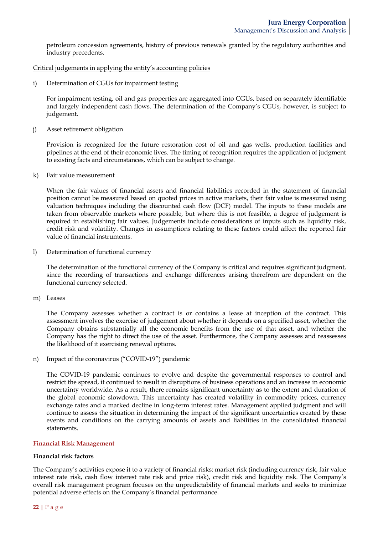petroleum concession agreements, history of previous renewals granted by the regulatory authorities and industry precedents.

Critical judgements in applying the entity's accounting policies

i) Determination of CGUs for impairment testing

For impairment testing, oil and gas properties are aggregated into CGUs, based on separately identifiable and largely independent cash flows. The determination of the Company's CGUs, however, is subject to judgement.

j) Asset retirement obligation

Provision is recognized for the future restoration cost of oil and gas wells, production facilities and pipelines at the end of their economic lives. The timing of recognition requires the application of judgment to existing facts and circumstances, which can be subject to change.

k) Fair value measurement

When the fair values of financial assets and financial liabilities recorded in the statement of financial position cannot be measured based on quoted prices in active markets, their fair value is measured using valuation techniques including the discounted cash flow (DCF) model. The inputs to these models are taken from observable markets where possible, but where this is not feasible, a degree of judgement is required in establishing fair values. Judgements include considerations of inputs such as liquidity risk, credit risk and volatility. Changes in assumptions relating to these factors could affect the reported fair value of financial instruments.

l) Determination of functional currency

The determination of the functional currency of the Company is critical and requires significant judgment, since the recording of transactions and exchange differences arising therefrom are dependent on the functional currency selected.

m) Leases

The Company assesses whether a contract is or contains a lease at inception of the contract. This assessment involves the exercise of judgement about whether it depends on a specified asset, whether the Company obtains substantially all the economic benefits from the use of that asset, and whether the Company has the right to direct the use of the asset. Furthermore, the Company assesses and reassesses the likelihood of it exercising renewal options.

n) Impact of the coronavirus ("COVID-19") pandemic

The COVID-19 pandemic continues to evolve and despite the governmental responses to control and restrict the spread, it continued to result in disruptions of business operations and an increase in economic uncertainty worldwide. As a result, there remains significant uncertainty as to the extent and duration of the global economic slowdown. This uncertainty has created volatility in commodity prices, currency exchange rates and a marked decline in long-term interest rates. Management applied judgment and will continue to assess the situation in determining the impact of the significant uncertainties created by these events and conditions on the carrying amounts of assets and liabilities in the consolidated financial statements.

## **Financial Risk Management**

## **Financial risk factors**

The Company's activities expose it to a variety of financial risks: market risk (including currency risk, fair value interest rate risk, cash flow interest rate risk and price risk), credit risk and liquidity risk. The Company's overall risk management program focuses on the unpredictability of financial markets and seeks to minimize potential adverse effects on the Company's financial performance.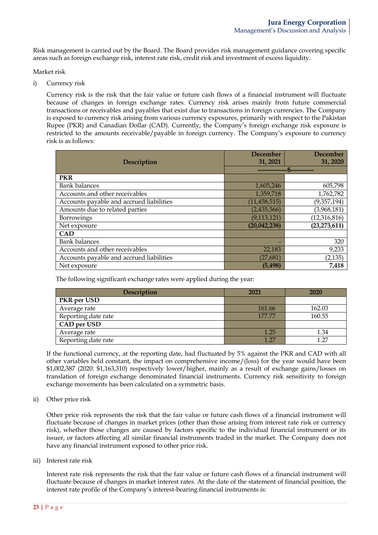Risk management is carried out by the Board. The Board provides risk management guidance covering specific areas such as foreign exchange risk, interest rate risk, credit risk and investment of excess liquidity.

Market risk

i) Currency risk

Currency risk is the risk that the fair value or future cash flows of a financial instrument will fluctuate because of changes in foreign exchange rates. Currency risk arises mainly from future commercial transactions or receivables and payables that exist due to transactions in foreign currencies. The Company is exposed to currency risk arising from various currency exposures, primarily with respect to the Pakistan Rupee (PKR) and Canadian Dollar (CAD). Currently, the Company's foreign exchange risk exposure is restricted to the amounts receivable/payable in foreign currency. The Company's exposure to currency risk is as follows:

|                                          | <b>December</b> | <b>December</b> |
|------------------------------------------|-----------------|-----------------|
| <b>Description</b>                       | 31, 2021        | 31, 2020        |
|                                          |                 |                 |
| <b>PKR</b>                               |                 |                 |
| <b>Bank balances</b>                     | 1,605,246       | 605,798         |
| Accounts and other receivables           | 1,359,718       | 1,762,782       |
| Accounts payable and accrued liabilities | (11, 458, 515)  | (9,357,194)     |
| Amounts due to related parties           | (2, 435, 566)   | (3,968,181)     |
| Borrowings                               | (9, 113, 121)   | (12, 316, 816)  |
| Net exposure                             | (20, 042, 238)  | (23, 273, 611)  |
| <b>CAD</b>                               |                 |                 |
| <b>Bank balances</b>                     |                 | 320             |
| Accounts and other receivables           | 22,183          | 9,233           |
| Accounts payable and accrued liabilities | (27, 681)       | (2, 135)        |
| Net exposure                             | (5, 498)        | 7,418           |

The following significant exchange rates were applied during the year:

| <b>Description</b>  | 2021   | 2020   |
|---------------------|--------|--------|
| PKR per USD         |        |        |
| Average rate        | 161.66 | 162.03 |
| Reporting date rate | 177.77 | 160.55 |
| CAD per USD         |        |        |
| Average rate        | 1.25   | 1.34   |
| Reporting date rate | 1.27   | 1.27   |

If the functional currency, at the reporting date, had fluctuated by 5% against the PKR and CAD with all other variables held constant, the impact on comprehensive income/(loss) for the year would have been \$1,002,387 (2020: \$1,163,310) respectively lower/higher, mainly as a result of exchange gains/losses on translation of foreign exchange denominated financial instruments. Currency risk sensitivity to foreign exchange movements has been calculated on a symmetric basis.

ii) Other price risk

Other price risk represents the risk that the fair value or future cash flows of a financial instrument will fluctuate because of changes in market prices (other than those arising from interest rate risk or currency risk), whether those changes are caused by factors specific to the individual financial instrument or its issuer, or factors affecting all similar financial instruments traded in the market. The Company does not have any financial instrument exposed to other price risk.

iii) Interest rate risk

Interest rate risk represents the risk that the fair value or future cash flows of a financial instrument will fluctuate because of changes in market interest rates. At the date of the statement of financial position, the interest rate profile of the Company's interest-bearing financial instruments is: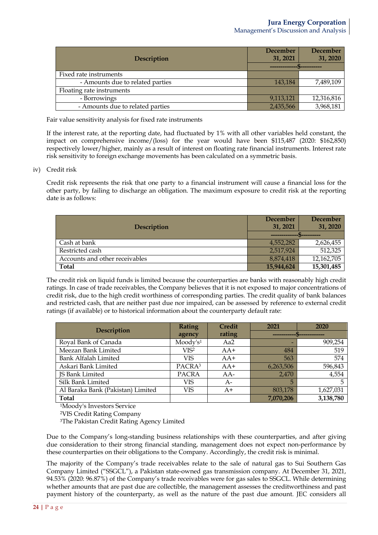| Description                      | December<br>31, 2021 | <b>December</b><br>31, 2020 |
|----------------------------------|----------------------|-----------------------------|
|                                  |                      |                             |
| Fixed rate instruments           |                      |                             |
| - Amounts due to related parties | 143,184              | 7,489,109                   |
| Floating rate instruments        |                      |                             |
| - Borrowings                     | 9,113,121            | 12,316,816                  |
| - Amounts due to related parties | 2,435,566            | 3,968,181                   |

Fair value sensitivity analysis for fixed rate instruments

If the interest rate, at the reporting date, had fluctuated by 1% with all other variables held constant, the impact on comprehensive income/(loss) for the year would have been \$115,487 (2020: \$162,850) respectively lower/higher, mainly as a result of interest on floating rate financial instruments. Interest rate risk sensitivity to foreign exchange movements has been calculated on a symmetric basis.

iv) Credit risk

Credit risk represents the risk that one party to a financial instrument will cause a financial loss for the other party, by failing to discharge an obligation. The maximum exposure to credit risk at the reporting date is as follows:

|                                | <b>December</b> | <b>December</b> |
|--------------------------------|-----------------|-----------------|
| Description                    | 31, 2021        | 31, 2020        |
|                                |                 |                 |
| Cash at bank                   | 4,552,282       | 2,626,455       |
| Restricted cash                | 2,517,924       | 512,325         |
| Accounts and other receivables | 8,874,418       | 12,162,705      |
| <b>Total</b>                   | 15,944,624      | 15,301,485      |

The credit risk on liquid funds is limited because the counterparties are banks with reasonably high credit ratings. In case of trade receivables, the Company believes that it is not exposed to major concentrations of credit risk, due to the high credit worthiness of corresponding parties. The credit quality of bank balances and restricted cash, that are neither past due nor impaired, can be assessed by reference to external credit ratings (if available) or to historical information about the counterparty default rate:

| <b>Description</b>                | <b>Rating</b>        | <b>Credit</b> | 2021      | 2020      |
|-----------------------------------|----------------------|---------------|-----------|-----------|
|                                   | agency               | rating        |           |           |
| Royal Bank of Canada              | Moody's <sup>1</sup> | Aa2           |           | 909,254   |
| Meezan Bank Limited               | VIS <sup>2</sup>     | $AA+$         | 484       | 519       |
| Bank Alfalah Limited              | VIS                  | $AA+$         | 563       | 574       |
| Askari Bank Limited               | PACRA <sup>3</sup>   | $AA+$         | 6,263,506 | 596,843   |
| <b>JS Bank Limited</b>            | <b>PACRA</b>         | $AA-$         | 2,470     | 4,554     |
| Silk Bank Limited                 | VIS                  | A-            | 5         |           |
| Al Baraka Bank (Pakistan) Limited | VIS                  | $A+$          | 803,178   | 1,627,031 |
| <b>Total</b>                      |                      |               | 7,070,206 | 3,138,780 |

1Moody's Investors Service

2VIS Credit Rating Company

3The Pakistan Credit Rating Agency Limited

Due to the Company's long-standing business relationships with these counterparties, and after giving due consideration to their strong financial standing, management does not expect non-performance by these counterparties on their obligations to the Company. Accordingly, the credit risk is minimal.

The majority of the Company's trade receivables relate to the sale of natural gas to Sui Southern Gas Company Limited ("SSGCL"), a Pakistan state-owned gas transmission company. At December 31, 2021, 94.53% (2020: 96.87%) of the Company's trade receivables were for gas sales to SSGCL. While determining whether amounts that are past due are collectible, the management assesses the creditworthiness and past payment history of the counterparty, as well as the nature of the past due amount. JEC considers all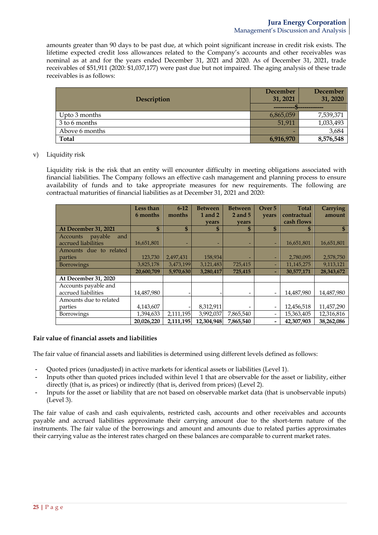amounts greater than 90 days to be past due, at which point significant increase in credit risk exists. The lifetime expected credit loss allowances related to the Company's accounts and other receivables was nominal as at and for the years ended December 31, 2021 and 2020. As of December 31, 2021, trade receivables of \$51,911 (2020: \$1,037,177) were past due but not impaired. The aging analysis of these trade receivables is as follows:

| Description    | December<br>31, 2021 | <b>December</b><br>31, 2020             |
|----------------|----------------------|-----------------------------------------|
|                |                      | --------- <del>------------------</del> |
| Upto 3 months  | 6,865,059            | 7,539,371                               |
| 3 to 6 months  | 51.911               | 1,033,493                               |
| Above 6 months |                      | 3,684                                   |
| <b>Total</b>   | 6,916,970            | 8,576,548                               |

### v) Liquidity risk

Liquidity risk is the risk that an entity will encounter difficulty in meeting obligations associated with financial liabilities. The Company follows an effective cash management and planning process to ensure availability of funds and to take appropriate measures for new requirements. The following are contractual maturities of financial liabilities as at December 31, 2021 and 2020:

|                            | Less than  | $6 - 12$     | <b>Between</b> | <b>Between</b> | Over 5 | <b>Total</b> | <b>Carrying</b> |
|----------------------------|------------|--------------|----------------|----------------|--------|--------------|-----------------|
|                            | 6 months   | months       | 1 and 2        | 2 and 5        | years  | contractual  | amount          |
|                            |            |              | vears          | vears          |        | cash flows   |                 |
| At December 31, 2021       | \$         | $\mathbf{s}$ | \$             | S              | \$     | S            |                 |
| payable<br>and<br>Accounts |            |              |                |                |        |              |                 |
| accrued liabilities        | 16,651,801 |              |                |                |        | 16,651,801   | 16,651,801      |
| Amounts due to related     |            |              |                |                |        |              |                 |
| parties                    | 123,730    | 2,497,431    | 158,934        |                | ٠      | 2,780,095    | 2,578,750       |
| <b>Borrowings</b>          | 3,825,178  | 3,473,199    | 3,121,483      | 725,415        |        | 11,145,275   | 9,113,121       |
|                            | 20,600,709 | 5,970,630    | 3,280,417      | 725,415        | -      | 30,577,171   | 28,343,672      |
| At December 31, 2020       |            |              |                |                |        |              |                 |
| Accounts payable and       |            |              |                |                |        |              |                 |
| accrued liabilities        | 14,487,980 |              |                |                |        | 14,487,980   | 14,487,980      |
| Amounts due to related     |            |              |                |                |        |              |                 |
| parties                    | 4,143,607  |              | 8,312,911      |                |        | 12,456,518   | 11,457,290      |
| Borrowings                 | 1,394,633  | 2,111,195    | 3,992,037      | 7,865,540      |        | 15,363,405   | 12,316,816      |
|                            | 20,026,220 | 2,111,195    | 12.304.948     | 7,865,540      |        | 42,307,903   | 38,262,086      |

#### **Fair value of financial assets and liabilities**

The fair value of financial assets and liabilities is determined using different levels defined as follows:

- Quoted prices (unadjusted) in active markets for identical assets or liabilities (Level 1).
- Inputs other than quoted prices included within level 1 that are observable for the asset or liability, either directly (that is, as prices) or indirectly (that is, derived from prices) (Level 2).
- Inputs for the asset or liability that are not based on observable market data (that is unobservable inputs) (Level 3).

The fair value of cash and cash equivalents, restricted cash, accounts and other receivables and accounts payable and accrued liabilities approximate their carrying amount due to the short-term nature of the instruments. The fair value of the borrowings and amount and amounts due to related parties approximates their carrying value as the interest rates charged on these balances are comparable to current market rates.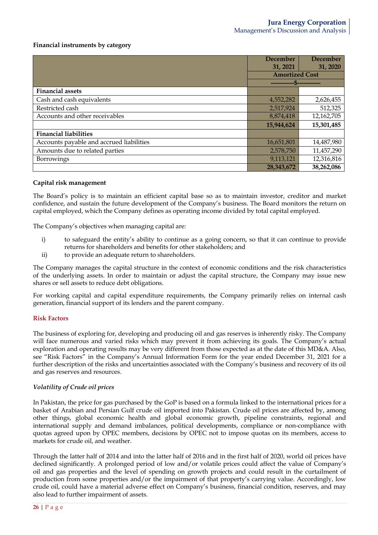### **Financial instruments by category**

|                                          | <b>December</b>       | December   |
|------------------------------------------|-----------------------|------------|
|                                          | 31, 2021              | 31, 2020   |
|                                          | <b>Amortized Cost</b> |            |
|                                          |                       |            |
| <b>Financial assets</b>                  |                       |            |
| Cash and cash equivalents                | 4,552,282             | 2,626,455  |
| Restricted cash                          | 2,517,924             | 512,325    |
| Accounts and other receivables           | 8,874,418             | 12,162,705 |
|                                          | 15,944,624            | 15,301,485 |
| <b>Financial liabilities</b>             |                       |            |
| Accounts payable and accrued liabilities | 16,651,801            | 14,487,980 |
| Amounts due to related parties           | 2,578,750             | 11,457,290 |
| Borrowings                               | 9,113,121             | 12,316,816 |
|                                          | 28,343,672            | 38,262,086 |

#### **Capital risk management**

The Board's policy is to maintain an efficient capital base so as to maintain investor, creditor and market confidence, and sustain the future development of the Company's business. The Board monitors the return on capital employed, which the Company defines as operating income divided by total capital employed.

The Company's objectives when managing capital are:

- i) to safeguard the entity's ability to continue as a going concern, so that it can continue to provide returns for shareholders and benefits for other stakeholders; and
- ii) to provide an adequate return to shareholders.

The Company manages the capital structure in the context of economic conditions and the risk characteristics of the underlying assets. In order to maintain or adjust the capital structure, the Company may issue new shares or sell assets to reduce debt obligations.

For working capital and capital expenditure requirements, the Company primarily relies on internal cash generation, financial support of its lenders and the parent company.

#### **Risk Factors**

The business of exploring for, developing and producing oil and gas reserves is inherently risky. The Company will face numerous and varied risks which may prevent it from achieving its goals. The Company's actual exploration and operating results may be very different from those expected as at the date of this MD&A. Also, see "Risk Factors" in the Company's Annual Information Form for the year ended December 31, 2021 for a further description of the risks and uncertainties associated with the Company's business and recovery of its oil and gas reserves and resources.

#### *Volatility of Crude oil prices*

In Pakistan, the price for gas purchased by the GoP is based on a formula linked to the international prices for a basket of Arabian and Persian Gulf crude oil imported into Pakistan. Crude oil prices are affected by, among other things, global economic health and global economic growth, pipeline constraints, regional and international supply and demand imbalances, political developments, compliance or non-compliance with quotas agreed upon by OPEC members, decisions by OPEC not to impose quotas on its members, access to markets for crude oil, and weather.

Through the latter half of 2014 and into the latter half of 2016 and in the first half of 2020, world oil prices have declined significantly. A prolonged period of low and/or volatile prices could affect the value of Company's oil and gas properties and the level of spending on growth projects and could result in the curtailment of production from some properties and/or the impairment of that property's carrying value. Accordingly, low crude oil, could have a material adverse effect on Company's business, financial condition, reserves, and may also lead to further impairment of assets.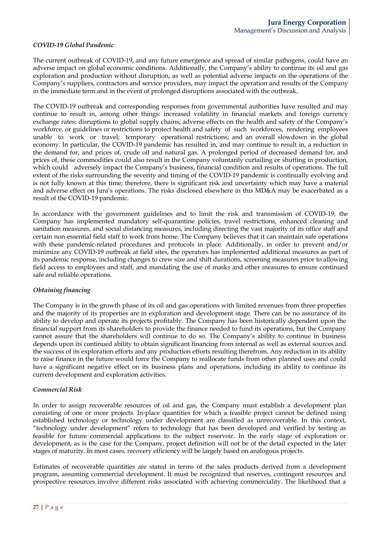### *COVID-19 Global Pandemic*

The current outbreak of COVID-19, and any future emergence and spread of similar pathogens, could have an adverse impact on global economic conditions. Additionally, the Company's ability to continue its oil and gas exploration and production without disruption, as well as potential adverse impacts on the operations of the Company's suppliers, contractors and service providers, may impact the operation and results of the Company in the immediate term and in the event of prolonged disruptions associated with the outbreak.

The COVID-19 outbreak and corresponding responses from governmental authorities have resulted and may continue to result in, among other things: increased volatility in financial markets and foreign currency exchange rates; disruptions to global supply chains; adverse effects on the health and safety of the Company's workforce, or guidelines or restrictions to protect health and safety of such workforces, rendering employees unable to work or travel; temporary operational restrictions; and an overall slowdown in the global economy. In particular, the COVID-19 pandemic has resulted in, and may continue to result in, a reduction in the demand for, and prices of, crude oil and natural gas. A prolonged period of decreased demand for, and prices of, these commodities could also result in the Company voluntarily curtailing or shutting in production, which could adversely impact the Company's business, financial condition and results of operations. The full extent of the risks surrounding the severity and timing of the COVID-19 pandemic is continually evolving and is not fully known at this time; therefore, there is significant risk and uncertainty which may have a material and adverse effect on Jura's operations. The risks disclosed elsewhere in this MD&A may be exacerbated as a result of the COVID-19 pandemic.

In accordance with the government guidelines and to limit the risk and transmission of COVID-19, the Company has implemented mandatory self-quarantine policies, travel restrictions, enhanced cleaning and sanitation measures, and social distancing measures, including directing the vast majority of its office staff and certain non-essential field staff to work from home. The Company believes that it can maintain safe operations with these pandemic-related procedures and protocols in place. Additionally, in order to prevent and/or minimize any COVID-19 outbreak at field sites, the operators has implemented additional measures as part of its pandemic response, including changes to crew size and shift durations, screening measures prior to allowing field access to employees and staff, and mandating the use of masks and other measures to ensure continued safe and reliable operations.

## *Obtaining financing*

The Company is in the growth phase of its oil and gas operations with limited revenues from three properties and the majority of its properties are in exploration and development stage. There can be no assurance of its ability to develop and operate its projects profitably. The Company has been historically dependent upon the financial support from its shareholders to provide the finance needed to fund its operations, but the Company cannot assure that the shareholders will continue to do so. The Company's ability to continue in business depends upon its continued ability to obtain significant financing from internal as well as external sources and the success of its exploration efforts and any production efforts resulting therefrom. Any reduction in its ability to raise finance in the future would force the Company to reallocate funds from other planned uses and could have a significant negative effect on its business plans and operations, including its ability to continue its current development and exploration activities.

#### *Commercial Risk*

In order to assign recoverable resources of oil and gas, the Company must establish a development plan consisting of one or more projects. In-place quantities for which a feasible project cannot be defined using established technology or technology under development are classified as unrecoverable. In this context, "technology under development" refers to technology that has been developed and verified by testing as feasible for future commercial applications to the subject reservoir. In the early stage of exploration or development, as is the case for the Company, project definition will not be of the detail expected in the later stages of maturity. In most cases, recovery efficiency will be largely based on analogous projects.

Estimates of recoverable quantities are stated in terms of the sales products derived from a development program, assuming commercial development. It must be recognized that reserves, contingent resources and prospective resources involve different risks associated with achieving commerciality. The likelihood that a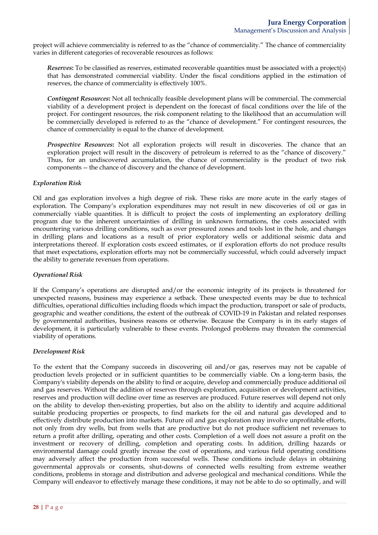project will achieve commerciality is referred to as the "chance of commerciality." The chance of commerciality varies in different categories of recoverable resources as follows:

*Reserves***:** To be classified as reserves, estimated recoverable quantities must be associated with a project(s) that has demonstrated commercial viability. Under the fiscal conditions applied in the estimation of reserves, the chance of commerciality is effectively 100%.

*Contingent Resources***:** Not all technically feasible development plans will be commercial. The commercial viability of a development project is dependent on the forecast of fiscal conditions over the life of the project. For contingent resources, the risk component relating to the likelihood that an accumulation will be commercially developed is referred to as the "chance of development." For contingent resources, the chance of commerciality is equal to the chance of development.

*Prospective Resources***:** Not all exploration projects will result in discoveries. The chance that an exploration project will result in the discovery of petroleum is referred to as the "chance of discovery." Thus, for an undiscovered accumulation, the chance of commerciality is the product of two risk components -- the chance of discovery and the chance of development.

### *Exploration Risk*

Oil and gas exploration involves a high degree of risk. These risks are more acute in the early stages of exploration. The Company's exploration expenditures may not result in new discoveries of oil or gas in commercially viable quantities. It is difficult to project the costs of implementing an exploratory drilling program due to the inherent uncertainties of drilling in unknown formations, the costs associated with encountering various drilling conditions, such as over pressured zones and tools lost in the hole, and changes in drilling plans and locations as a result of prior exploratory wells or additional seismic data and interpretations thereof. If exploration costs exceed estimates, or if exploration efforts do not produce results that meet expectations, exploration efforts may not be commercially successful, which could adversely impact the ability to generate revenues from operations.

## *Operational Risk*

If the Company's operations are disrupted and/or the economic integrity of its projects is threatened for unexpected reasons, business may experience a setback. These unexpected events may be due to technical difficulties, operational difficulties including floods which impact the production, transport or sale of products, geographic and weather conditions, the extent of the outbreak of COVID-19 in Pakistan and related responses by governmental authorities, business reasons or otherwise. Because the Company is in its early stages of development, it is particularly vulnerable to these events. Prolonged problems may threaten the commercial viability of operations.

## *Development Risk*

To the extent that the Company succeeds in discovering oil and/or gas, reserves may not be capable of production levels projected or in sufficient quantities to be commercially viable. On a long-term basis, the Company's viability depends on the ability to find or acquire, develop and commercially produce additional oil and gas reserves. Without the addition of reserves through exploration, acquisition or development activities, reserves and production will decline over time as reserves are produced. Future reserves will depend not only on the ability to develop then-existing properties, but also on the ability to identify and acquire additional suitable producing properties or prospects, to find markets for the oil and natural gas developed and to effectively distribute production into markets. Future oil and gas exploration may involve unprofitable efforts, not only from dry wells, but from wells that are productive but do not produce sufficient net revenues to return a profit after drilling, operating and other costs. Completion of a well does not assure a profit on the investment or recovery of drilling, completion and operating costs. In addition, drilling hazards or environmental damage could greatly increase the cost of operations, and various field operating conditions may adversely affect the production from successful wells. These conditions include delays in obtaining governmental approvals or consents, shut-downs of connected wells resulting from extreme weather conditions, problems in storage and distribution and adverse geological and mechanical conditions. While the Company will endeavor to effectively manage these conditions, it may not be able to do so optimally, and will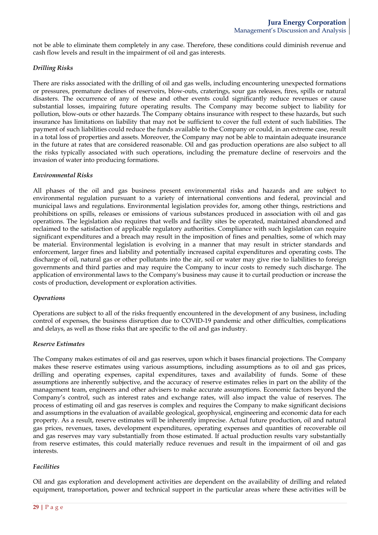not be able to eliminate them completely in any case. Therefore, these conditions could diminish revenue and cash flow levels and result in the impairment of oil and gas interests.

### *Drilling Risks*

There are risks associated with the drilling of oil and gas wells, including encountering unexpected formations or pressures, premature declines of reservoirs, blow-outs, craterings, sour gas releases, fires, spills or natural disasters. The occurrence of any of these and other events could significantly reduce revenues or cause substantial losses, impairing future operating results. The Company may become subject to liability for pollution, blow-outs or other hazards. The Company obtains insurance with respect to these hazards, but such insurance has limitations on liability that may not be sufficient to cover the full extent of such liabilities. The payment of such liabilities could reduce the funds available to the Company or could, in an extreme case, result in a total loss of properties and assets. Moreover, the Company may not be able to maintain adequate insurance in the future at rates that are considered reasonable. Oil and gas production operations are also subject to all the risks typically associated with such operations, including the premature decline of reservoirs and the invasion of water into producing formations.

#### *Environmental Risks*

All phases of the oil and gas business present environmental risks and hazards and are subject to environmental regulation pursuant to a variety of international conventions and federal, provincial and municipal laws and regulations. Environmental legislation provides for, among other things, restrictions and prohibitions on spills, releases or emissions of various substances produced in association with oil and gas operations. The legislation also requires that wells and facility sites be operated, maintained abandoned and reclaimed to the satisfaction of applicable regulatory authorities. Compliance with such legislation can require significant expenditures and a breach may result in the imposition of fines and penalties, some of which may be material. Environmental legislation is evolving in a manner that may result in stricter standards and enforcement, larger fines and liability and potentially increased capital expenditures and operating costs. The discharge of oil, natural gas or other pollutants into the air, soil or water may give rise to liabilities to foreign governments and third parties and may require the Company to incur costs to remedy such discharge. The application of environmental laws to the Company's business may cause it to curtail production or increase the costs of production, development or exploration activities.

#### *Operations*

Operations are subject to all of the risks frequently encountered in the development of any business, including control of expenses, the business disruption due to COVID-19 pandemic and other difficulties, complications and delays, as well as those risks that are specific to the oil and gas industry.

## *Reserve Estimates*

The Company makes estimates of oil and gas reserves, upon which it bases financial projections. The Company makes these reserve estimates using various assumptions, including assumptions as to oil and gas prices, drilling and operating expenses, capital expenditures, taxes and availability of funds. Some of these assumptions are inherently subjective, and the accuracy of reserve estimates relies in part on the ability of the management team, engineers and other advisers to make accurate assumptions. Economic factors beyond the Company's control, such as interest rates and exchange rates, will also impact the value of reserves. The process of estimating oil and gas reserves is complex and requires the Company to make significant decisions and assumptions in the evaluation of available geological, geophysical, engineering and economic data for each property. As a result, reserve estimates will be inherently imprecise. Actual future production, oil and natural gas prices, revenues, taxes, development expenditures, operating expenses and quantities of recoverable oil and gas reserves may vary substantially from those estimated. If actual production results vary substantially from reserve estimates, this could materially reduce revenues and result in the impairment of oil and gas interests.

## *Facilities*

Oil and gas exploration and development activities are dependent on the availability of drilling and related equipment, transportation, power and technical support in the particular areas where these activities will be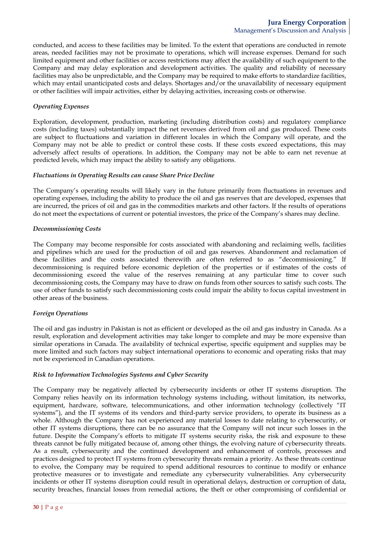conducted, and access to these facilities may be limited. To the extent that operations are conducted in remote areas, needed facilities may not be proximate to operations, which will increase expenses. Demand for such limited equipment and other facilities or access restrictions may affect the availability of such equipment to the Company and may delay exploration and development activities. The quality and reliability of necessary facilities may also be unpredictable, and the Company may be required to make efforts to standardize facilities, which may entail unanticipated costs and delays. Shortages and/or the unavailability of necessary equipment or other facilities will impair activities, either by delaying activities, increasing costs or otherwise.

### *Operating Expenses*

Exploration, development, production, marketing (including distribution costs) and regulatory compliance costs (including taxes) substantially impact the net revenues derived from oil and gas produced. These costs are subject to fluctuations and variation in different locales in which the Company will operate, and the Company may not be able to predict or control these costs. If these costs exceed expectations, this may adversely affect results of operations. In addition, the Company may not be able to earn net revenue at predicted levels, which may impact the ability to satisfy any obligations.

#### *Fluctuations in Operating Results can cause Share Price Decline*

The Company's operating results will likely vary in the future primarily from fluctuations in revenues and operating expenses, including the ability to produce the oil and gas reserves that are developed, expenses that are incurred, the prices of oil and gas in the commodities markets and other factors. If the results of operations do not meet the expectations of current or potential investors, the price of the Company's shares may decline.

#### *Decommissioning Costs*

The Company may become responsible for costs associated with abandoning and reclaiming wells, facilities and pipelines which are used for the production of oil and gas reserves. Abandonment and reclamation of these facilities and the costs associated therewith are often referred to as "decommissioning." If decommissioning is required before economic depletion of the properties or if estimates of the costs of decommissioning exceed the value of the reserves remaining at any particular time to cover such decommissioning costs, the Company may have to draw on funds from other sources to satisfy such costs. The use of other funds to satisfy such decommissioning costs could impair the ability to focus capital investment in other areas of the business.

#### *Foreign Operations*

The oil and gas industry in Pakistan is not as efficient or developed as the oil and gas industry in Canada. As a result, exploration and development activities may take longer to complete and may be more expensive than similar operations in Canada. The availability of technical expertise, specific equipment and supplies may be more limited and such factors may subject international operations to economic and operating risks that may not be experienced in Canadian operations.

### *Risk to Information Technologies Systems and Cyber Security*

The Company may be negatively affected by cybersecurity incidents or other IT systems disruption. The Company relies heavily on its information technology systems including, without limitation, its networks, equipment, hardware, software, telecommunications, and other information technology (collectively "IT systems"), and the IT systems of its vendors and third-party service providers, to operate its business as a whole. Although the Company has not experienced any material losses to date relating to cybersecurity, or other IT systems disruptions, there can be no assurance that the Company will not incur such losses in the future. Despite the Company's efforts to mitigate IT systems security risks, the risk and exposure to these threats cannot be fully mitigated because of, among other things, the evolving nature of cybersecurity threats. As a result, cybersecurity and the continued development and enhancement of controls, processes and practices designed to protect IT systems from cybersecurity threats remain a priority. As these threats continue to evolve, the Company may be required to spend additional resources to continue to modify or enhance protective measures or to investigate and remediate any cybersecurity vulnerabilities. Any cybersecurity incidents or other IT systems disruption could result in operational delays, destruction or corruption of data, security breaches, financial losses from remedial actions, the theft or other compromising of confidential or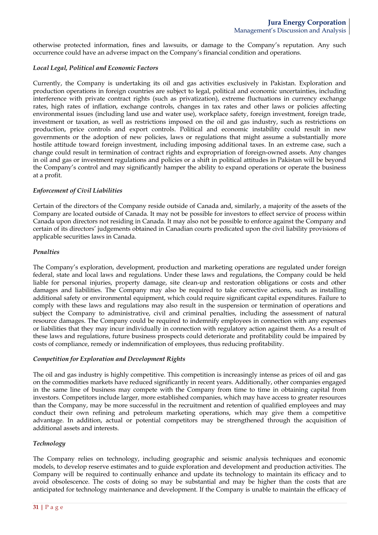otherwise protected information, fines and lawsuits, or damage to the Company's reputation. Any such occurrence could have an adverse impact on the Company's financial condition and operations.

## *Local Legal, Political and Economic Factors*

Currently, the Company is undertaking its oil and gas activities exclusively in Pakistan. Exploration and production operations in foreign countries are subject to legal, political and economic uncertainties, including interference with private contract rights (such as privatization), extreme fluctuations in currency exchange rates, high rates of inflation, exchange controls, changes in tax rates and other laws or policies affecting environmental issues (including land use and water use), workplace safety, foreign investment, foreign trade, investment or taxation, as well as restrictions imposed on the oil and gas industry, such as restrictions on production, price controls and export controls. Political and economic instability could result in new governments or the adoption of new policies, laws or regulations that might assume a substantially more hostile attitude toward foreign investment, including imposing additional taxes. In an extreme case, such a change could result in termination of contract rights and expropriation of foreign-owned assets. Any changes in oil and gas or investment regulations and policies or a shift in political attitudes in Pakistan will be beyond the Company's control and may significantly hamper the ability to expand operations or operate the business at a profit.

## *Enforcement of Civil Liabilities*

Certain of the directors of the Company reside outside of Canada and, similarly, a majority of the assets of the Company are located outside of Canada. It may not be possible for investors to effect service of process within Canada upon directors not residing in Canada. It may also not be possible to enforce against the Company and certain of its directors' judgements obtained in Canadian courts predicated upon the civil liability provisions of applicable securities laws in Canada.

# *Penalties*

The Company's exploration, development, production and marketing operations are regulated under foreign federal, state and local laws and regulations. Under these laws and regulations, the Company could be held liable for personal injuries, property damage, site clean-up and restoration obligations or costs and other damages and liabilities. The Company may also be required to take corrective actions, such as installing additional safety or environmental equipment, which could require significant capital expenditures. Failure to comply with these laws and regulations may also result in the suspension or termination of operations and subject the Company to administrative, civil and criminal penalties, including the assessment of natural resource damages. The Company could be required to indemnify employees in connection with any expenses or liabilities that they may incur individually in connection with regulatory action against them. As a result of these laws and regulations, future business prospects could deteriorate and profitability could be impaired by costs of compliance, remedy or indemnification of employees, thus reducing profitability.

## *Competition for Exploration and Development Rights*

The oil and gas industry is highly competitive. This competition is increasingly intense as prices of oil and gas on the commodities markets have reduced significantly in recent years. Additionally, other companies engaged in the same line of business may compete with the Company from time to time in obtaining capital from investors. Competitors include larger, more established companies, which may have access to greater resources than the Company, may be more successful in the recruitment and retention of qualified employees and may conduct their own refining and petroleum marketing operations, which may give them a competitive advantage. In addition, actual or potential competitors may be strengthened through the acquisition of additional assets and interests.

# *Technology*

The Company relies on technology, including geographic and seismic analysis techniques and economic models, to develop reserve estimates and to guide exploration and development and production activities. The Company will be required to continually enhance and update its technology to maintain its efficacy and to avoid obsolescence. The costs of doing so may be substantial and may be higher than the costs that are anticipated for technology maintenance and development. If the Company is unable to maintain the efficacy of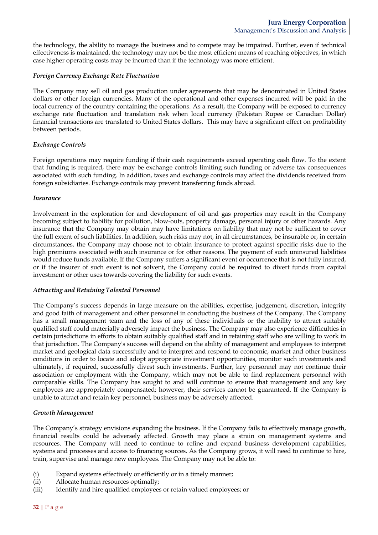the technology, the ability to manage the business and to compete may be impaired. Further, even if technical effectiveness is maintained, the technology may not be the most efficient means of reaching objectives, in which case higher operating costs may be incurred than if the technology was more efficient.

### *Foreign Currency Exchange Rate Fluctuation*

The Company may sell oil and gas production under agreements that may be denominated in United States dollars or other foreign currencies. Many of the operational and other expenses incurred will be paid in the local currency of the country containing the operations. As a result, the Company will be exposed to currency exchange rate fluctuation and translation risk when local currency (Pakistan Rupee or Canadian Dollar) financial transactions are translated to United States dollars. This may have a significant effect on profitability between periods.

### *Exchange Controls*

Foreign operations may require funding if their cash requirements exceed operating cash flow. To the extent that funding is required, there may be exchange controls limiting such funding or adverse tax consequences associated with such funding. In addition, taxes and exchange controls may affect the dividends received from foreign subsidiaries. Exchange controls may prevent transferring funds abroad.

### *Insurance*

Involvement in the exploration for and development of oil and gas properties may result in the Company becoming subject to liability for pollution, blow-outs, property damage, personal injury or other hazards. Any insurance that the Company may obtain may have limitations on liability that may not be sufficient to cover the full extent of such liabilities. In addition, such risks may not, in all circumstances, be insurable or, in certain circumstances, the Company may choose not to obtain insurance to protect against specific risks due to the high premiums associated with such insurance or for other reasons. The payment of such uninsured liabilities would reduce funds available. If the Company suffers a significant event or occurrence that is not fully insured, or if the insurer of such event is not solvent, the Company could be required to divert funds from capital investment or other uses towards covering the liability for such events.

## *Attracting and Retaining Talented Personnel*

The Company's success depends in large measure on the abilities, expertise, judgement, discretion, integrity and good faith of management and other personnel in conducting the business of the Company. The Company has a small management team and the loss of any of these individuals or the inability to attract suitably qualified staff could materially adversely impact the business. The Company may also experience difficulties in certain jurisdictions in efforts to obtain suitably qualified staff and in retaining staff who are willing to work in that jurisdiction. The Company's success will depend on the ability of management and employees to interpret market and geological data successfully and to interpret and respond to economic, market and other business conditions in order to locate and adopt appropriate investment opportunities, monitor such investments and ultimately, if required, successfully divest such investments. Further, key personnel may not continue their association or employment with the Company, which may not be able to find replacement personnel with comparable skills. The Company has sought to and will continue to ensure that management and any key employees are appropriately compensated; however, their services cannot be guaranteed. If the Company is unable to attract and retain key personnel, business may be adversely affected.

## *Growth Management*

The Company's strategy envisions expanding the business. If the Company fails to effectively manage growth, financial results could be adversely affected. Growth may place a strain on management systems and resources. The Company will need to continue to refine and expand business development capabilities, systems and processes and access to financing sources. As the Company grows, it will need to continue to hire, train, supervise and manage new employees. The Company may not be able to:

- (i) Expand systems effectively or efficiently or in a timely manner;
- (ii) Allocate human resources optimally;
- (iii) Identify and hire qualified employees or retain valued employees; or